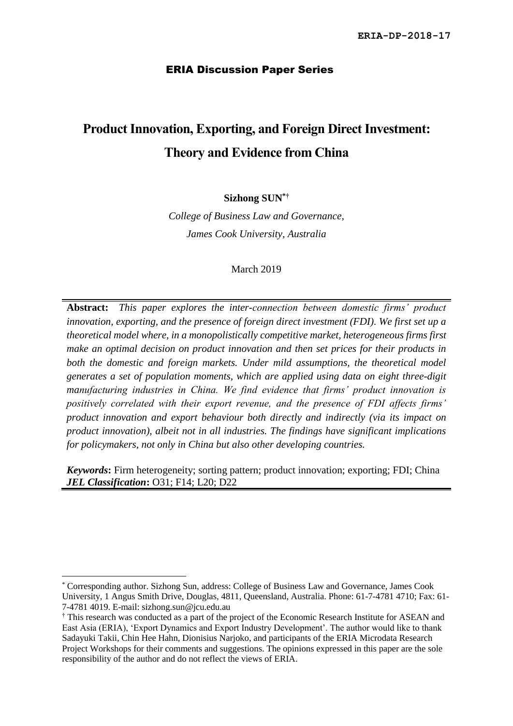# ERIA Discussion Paper Series

# **Product Innovation, Exporting, and Foreign Direct Investment: Theory and Evidence from China**

# **Sizhong SUN\*†**

*College of Business Law and Governance, James Cook University, Australia*

March 2019

**Abstract:** *This paper explores the inter-connection between domestic firms' product innovation, exporting, and the presence of foreign direct investment (FDI). We first set up a theoretical model where, in a monopolistically competitive market, heterogeneous firms first make an optimal decision on product innovation and then set prices for their products in*  both the domestic and foreign markets. Under mild assumptions, the theoretical model *generates a set of population moments, which are applied using data on eight three-digit manufacturing industries in China. We find evidence that firms' product innovation is positively correlated with their export revenue, and the presence of FDI affects firms' product innovation and export behaviour both directly and indirectly (via its impact on product innovation), albeit not in all industries. The findings have significant implications for policymakers, not only in China but also other developing countries.*

*Keywords***:** Firm heterogeneity; sorting pattern; product innovation; exporting; FDI; China *JEL Classification***:** O31; F14; L20; D22

1

<sup>\*</sup> Corresponding author. Sizhong Sun, address: College of Business Law and Governance, James Cook University, 1 Angus Smith Drive, Douglas, 4811, Queensland, Australia. Phone: 61-7-4781 4710; Fax: 61- 7-4781 4019. E-mail: sizhong.sun@jcu.edu.au

<sup>†</sup> This research was conducted as a part of the project of the Economic Research Institute for ASEAN and East Asia (ERIA), 'Export Dynamics and Export Industry Development'. The author would like to thank Sadayuki Takii, Chin Hee Hahn, Dionisius Narjoko, and participants of the ERIA Microdata Research Project Workshops for their comments and suggestions. The opinions expressed in this paper are the sole responsibility of the author and do not reflect the views of ERIA.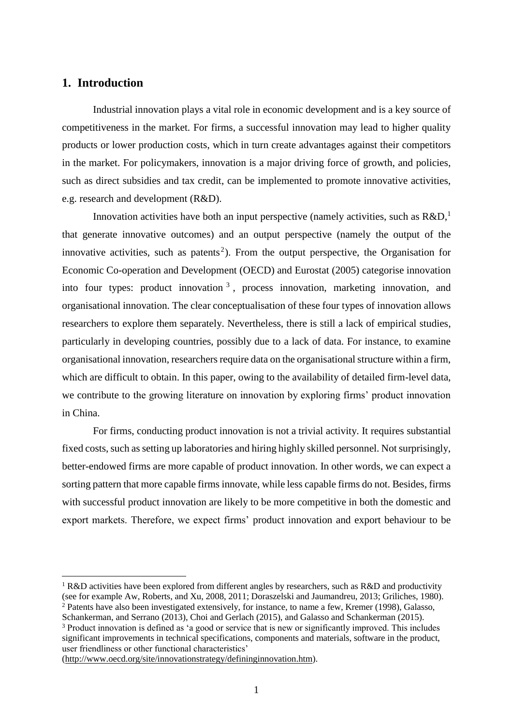# **1. Introduction**

1

Industrial innovation plays a vital role in economic development and is a key source of competitiveness in the market. For firms, a successful innovation may lead to higher quality products or lower production costs, which in turn create advantages against their competitors in the market. For policymakers, innovation is a major driving force of growth, and policies, such as direct subsidies and tax credit, can be implemented to promote innovative activities, e.g. research and development (R&D).

Innovation activities have both an input perspective (namely activities, such as  $R&D$ , that generate innovative outcomes) and an output perspective (namely the output of the innovative activities, such as patents<sup>2</sup>). From the output perspective, the Organisation for Economic Co-operation and Development (OECD) and Eurostat (2005) categorise innovation into four types: product innovation  $3$ , process innovation, marketing innovation, and organisational innovation. The clear conceptualisation of these four types of innovation allows researchers to explore them separately. Nevertheless, there is still a lack of empirical studies, particularly in developing countries, possibly due to a lack of data. For instance, to examine organisational innovation, researchers require data on the organisational structure within a firm, which are difficult to obtain. In this paper, owing to the availability of detailed firm-level data, we contribute to the growing literature on innovation by exploring firms' product innovation in China.

For firms, conducting product innovation is not a trivial activity. It requires substantial fixed costs, such as setting up laboratories and hiring highly skilled personnel. Not surprisingly, better-endowed firms are more capable of product innovation. In other words, we can expect a sorting pattern that more capable firms innovate, while less capable firms do not. Besides, firms with successful product innovation are likely to be more competitive in both the domestic and export markets. Therefore, we expect firms' product innovation and export behaviour to be

(http://www.oecd.org/site/innovationstrategy/defininginnovation.htm).

<sup>&</sup>lt;sup>1</sup> R&D activities have been explored from different angles by researchers, such as R&D and productivity (see for example Aw, Roberts, and Xu, 2008, 2011; Doraszelski and Jaumandreu, 2013; Griliches, 1980). <sup>2</sup> Patents have also been investigated extensively, for instance, to name a few, Kremer (1998), Galasso,

Schankerman, and Serrano (2013), Choi and Gerlach (2015), and Galasso and Schankerman (2015).

<sup>3</sup> Product innovation is defined as 'a good or service that is new or significantly improved. This includes significant improvements in technical specifications, components and materials, software in the product, user friendliness or other functional characteristics'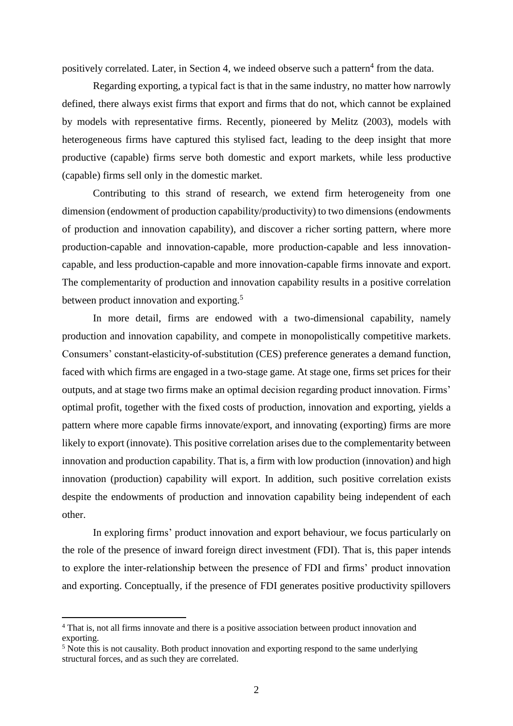positively correlated. Later, in Section 4, we indeed observe such a pattern<sup>4</sup> from the data.

Regarding exporting, a typical fact is that in the same industry, no matter how narrowly defined, there always exist firms that export and firms that do not, which cannot be explained by models with representative firms. Recently, pioneered by Melitz (2003), models with heterogeneous firms have captured this stylised fact, leading to the deep insight that more productive (capable) firms serve both domestic and export markets, while less productive (capable) firms sell only in the domestic market.

Contributing to this strand of research, we extend firm heterogeneity from one dimension (endowment of production capability/productivity) to two dimensions (endowments of production and innovation capability), and discover a richer sorting pattern, where more production-capable and innovation-capable, more production-capable and less innovationcapable, and less production-capable and more innovation-capable firms innovate and export. The complementarity of production and innovation capability results in a positive correlation between product innovation and exporting.<sup>5</sup>

In more detail, firms are endowed with a two-dimensional capability, namely production and innovation capability, and compete in monopolistically competitive markets. Consumers' constant-elasticity-of-substitution (CES) preference generates a demand function, faced with which firms are engaged in a two-stage game. At stage one, firms set prices for their outputs, and at stage two firms make an optimal decision regarding product innovation. Firms' optimal profit, together with the fixed costs of production, innovation and exporting, yields a pattern where more capable firms innovate/export, and innovating (exporting) firms are more likely to export (innovate). This positive correlation arises due to the complementarity between innovation and production capability. That is, a firm with low production (innovation) and high innovation (production) capability will export. In addition, such positive correlation exists despite the endowments of production and innovation capability being independent of each other.

In exploring firms' product innovation and export behaviour, we focus particularly on the role of the presence of inward foreign direct investment (FDI). That is, this paper intends to explore the inter-relationship between the presence of FDI and firms' product innovation and exporting. Conceptually, if the presence of FDI generates positive productivity spillovers

1

<sup>4</sup> That is, not all firms innovate and there is a positive association between product innovation and exporting.

 $<sup>5</sup>$  Note this is not causality. Both product innovation and exporting respond to the same underlying</sup> structural forces, and as such they are correlated.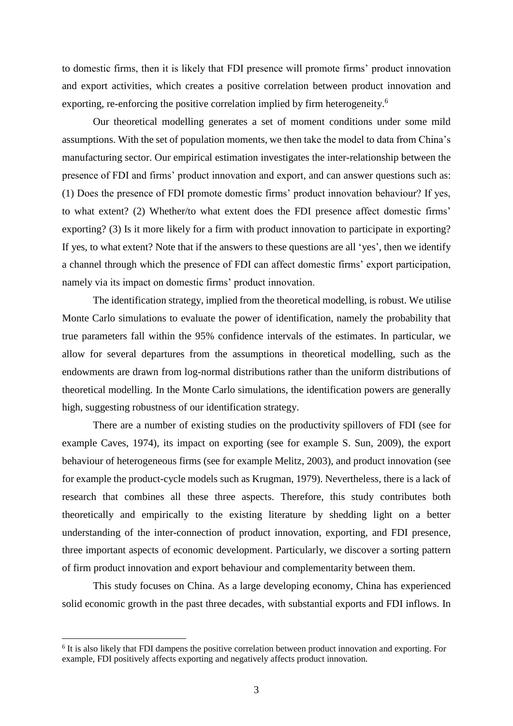to domestic firms, then it is likely that FDI presence will promote firms' product innovation and export activities, which creates a positive correlation between product innovation and exporting, re-enforcing the positive correlation implied by firm heterogeneity.<sup>6</sup>

Our theoretical modelling generates a set of moment conditions under some mild assumptions. With the set of population moments, we then take the model to data from China's manufacturing sector. Our empirical estimation investigates the inter-relationship between the presence of FDI and firms' product innovation and export, and can answer questions such as: (1) Does the presence of FDI promote domestic firms' product innovation behaviour? If yes, to what extent? (2) Whether/to what extent does the FDI presence affect domestic firms' exporting? (3) Is it more likely for a firm with product innovation to participate in exporting? If yes, to what extent? Note that if the answers to these questions are all 'yes', then we identify a channel through which the presence of FDI can affect domestic firms' export participation, namely via its impact on domestic firms' product innovation.

The identification strategy, implied from the theoretical modelling, is robust. We utilise Monte Carlo simulations to evaluate the power of identification, namely the probability that true parameters fall within the 95% confidence intervals of the estimates. In particular, we allow for several departures from the assumptions in theoretical modelling, such as the endowments are drawn from log-normal distributions rather than the uniform distributions of theoretical modelling. In the Monte Carlo simulations, the identification powers are generally high, suggesting robustness of our identification strategy.

There are a number of existing studies on the productivity spillovers of FDI (see for example Caves, 1974), its impact on exporting (see for example S. Sun, 2009), the export behaviour of heterogeneous firms (see for example Melitz, 2003), and product innovation (see for example the product-cycle models such as Krugman, 1979). Nevertheless, there is a lack of research that combines all these three aspects. Therefore, this study contributes both theoretically and empirically to the existing literature by shedding light on a better understanding of the inter-connection of product innovation, exporting, and FDI presence, three important aspects of economic development. Particularly, we discover a sorting pattern of firm product innovation and export behaviour and complementarity between them.

This study focuses on China. As a large developing economy, China has experienced solid economic growth in the past three decades, with substantial exports and FDI inflows. In

<u>.</u>

<sup>&</sup>lt;sup>6</sup> It is also likely that FDI dampens the positive correlation between product innovation and exporting. For example, FDI positively affects exporting and negatively affects product innovation.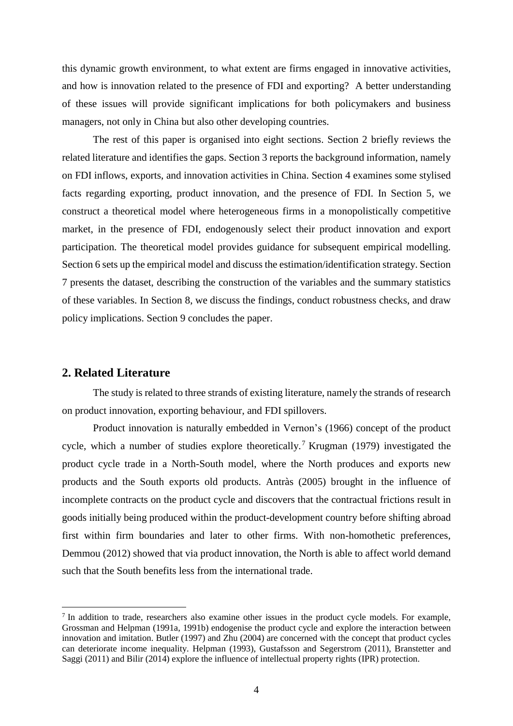this dynamic growth environment, to what extent are firms engaged in innovative activities, and how is innovation related to the presence of FDI and exporting? A better understanding of these issues will provide significant implications for both policymakers and business managers, not only in China but also other developing countries.

The rest of this paper is organised into eight sections. Section 2 briefly reviews the related literature and identifies the gaps. Section 3 reports the background information, namely on FDI inflows, exports, and innovation activities in China. Section 4 examines some stylised facts regarding exporting, product innovation, and the presence of FDI. In Section 5, we construct a theoretical model where heterogeneous firms in a monopolistically competitive market, in the presence of FDI, endogenously select their product innovation and export participation. The theoretical model provides guidance for subsequent empirical modelling. Section 6 sets up the empirical model and discuss the estimation/identification strategy. Section 7 presents the dataset, describing the construction of the variables and the summary statistics of these variables. In Section 8, we discuss the findings, conduct robustness checks, and draw policy implications. Section 9 concludes the paper.

# **2. Related Literature**

1

The study is related to three strands of existing literature, namely the strands of research on product innovation, exporting behaviour, and FDI spillovers.

Product innovation is naturally embedded in Vernon's (1966) concept of the product cycle, which a number of studies explore theoretically.<sup>7</sup> Krugman (1979) investigated the product cycle trade in a North-South model, where the North produces and exports new products and the South exports old products. Antràs (2005) brought in the influence of incomplete contracts on the product cycle and discovers that the contractual frictions result in goods initially being produced within the product-development country before shifting abroad first within firm boundaries and later to other firms. With non-homothetic preferences, Demmou (2012) showed that via product innovation, the North is able to affect world demand such that the South benefits less from the international trade.

<sup>&</sup>lt;sup>7</sup> In addition to trade, researchers also examine other issues in the product cycle models. For example, Grossman and Helpman (1991a, 1991b) endogenise the product cycle and explore the interaction between innovation and imitation. Butler (1997) and Zhu (2004) are concerned with the concept that product cycles can deteriorate income inequality. Helpman (1993), Gustafsson and Segerstrom (2011), Branstetter and Saggi (2011) and Bilir (2014) explore the influence of intellectual property rights (IPR) protection.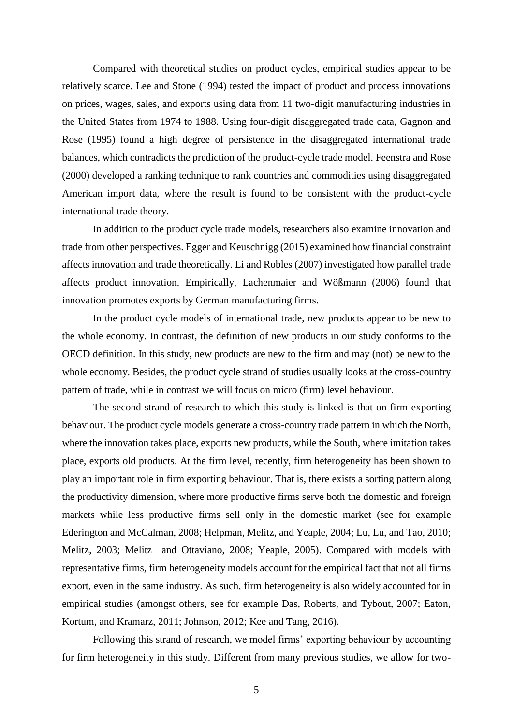Compared with theoretical studies on product cycles, empirical studies appear to be relatively scarce. Lee and Stone (1994) tested the impact of product and process innovations on prices, wages, sales, and exports using data from 11 two-digit manufacturing industries in the United States from 1974 to 1988. Using four-digit disaggregated trade data, Gagnon and Rose (1995) found a high degree of persistence in the disaggregated international trade balances, which contradicts the prediction of the product-cycle trade model. Feenstra and Rose (2000) developed a ranking technique to rank countries and commodities using disaggregated American import data, where the result is found to be consistent with the product-cycle international trade theory.

In addition to the product cycle trade models, researchers also examine innovation and trade from other perspectives. Egger and Keuschnigg (2015) examined how financial constraint affects innovation and trade theoretically. Li and Robles (2007) investigated how parallel trade affects product innovation. Empirically, Lachenmaier and Wößmann (2006) found that innovation promotes exports by German manufacturing firms.

In the product cycle models of international trade, new products appear to be new to the whole economy. In contrast, the definition of new products in our study conforms to the OECD definition. In this study, new products are new to the firm and may (not) be new to the whole economy. Besides, the product cycle strand of studies usually looks at the cross-country pattern of trade, while in contrast we will focus on micro (firm) level behaviour.

The second strand of research to which this study is linked is that on firm exporting behaviour. The product cycle models generate a cross-country trade pattern in which the North, where the innovation takes place, exports new products, while the South, where imitation takes place, exports old products. At the firm level, recently, firm heterogeneity has been shown to play an important role in firm exporting behaviour. That is, there exists a sorting pattern along the productivity dimension, where more productive firms serve both the domestic and foreign markets while less productive firms sell only in the domestic market (see for example Ederington and McCalman, 2008; Helpman, Melitz, and Yeaple, 2004; Lu, Lu, and Tao, 2010; Melitz, 2003; Melitz and Ottaviano, 2008; Yeaple, 2005). Compared with models with representative firms, firm heterogeneity models account for the empirical fact that not all firms export, even in the same industry. As such, firm heterogeneity is also widely accounted for in empirical studies (amongst others, see for example Das, Roberts, and Tybout, 2007; Eaton, Kortum, and Kramarz, 2011; Johnson, 2012; Kee and Tang, 2016).

Following this strand of research, we model firms' exporting behaviour by accounting for firm heterogeneity in this study. Different from many previous studies, we allow for two-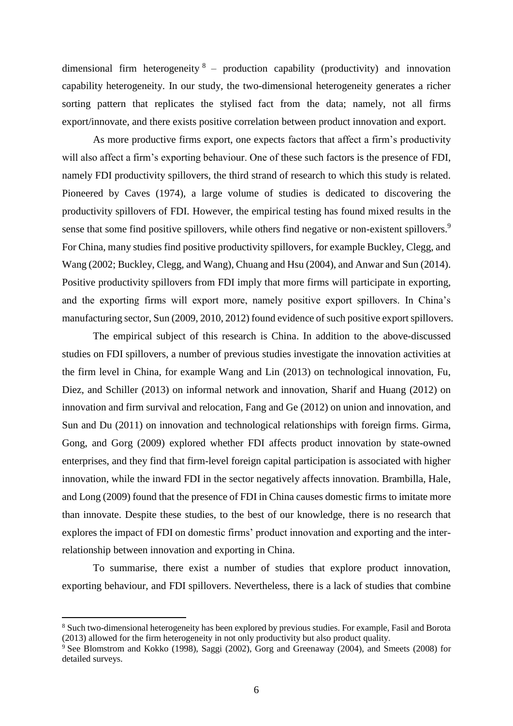dimensional firm heterogeneity  $8$  – production capability (productivity) and innovation capability heterogeneity. In our study, the two-dimensional heterogeneity generates a richer sorting pattern that replicates the stylised fact from the data; namely, not all firms export/innovate, and there exists positive correlation between product innovation and export.

As more productive firms export, one expects factors that affect a firm's productivity will also affect a firm's exporting behaviour. One of these such factors is the presence of FDI, namely FDI productivity spillovers, the third strand of research to which this study is related. Pioneered by Caves (1974), a large volume of studies is dedicated to discovering the productivity spillovers of FDI. However, the empirical testing has found mixed results in the sense that some find positive spillovers, while others find negative or non-existent spillovers.<sup>9</sup> For China, many studies find positive productivity spillovers, for example Buckley, Clegg, and Wang (2002; Buckley, Clegg, and Wang), Chuang and Hsu (2004), and Anwar and Sun (2014). Positive productivity spillovers from FDI imply that more firms will participate in exporting, and the exporting firms will export more, namely positive export spillovers. In China's manufacturing sector, Sun (2009, 2010, 2012) found evidence of such positive export spillovers.

The empirical subject of this research is China. In addition to the above-discussed studies on FDI spillovers, a number of previous studies investigate the innovation activities at the firm level in China, for example Wang and Lin (2013) on technological innovation, Fu, Diez, and Schiller (2013) on informal network and innovation, Sharif and Huang (2012) on innovation and firm survival and relocation, Fang and Ge (2012) on union and innovation, and Sun and Du (2011) on innovation and technological relationships with foreign firms. Girma, Gong, and Gorg (2009) explored whether FDI affects product innovation by state-owned enterprises, and they find that firm-level foreign capital participation is associated with higher innovation, while the inward FDI in the sector negatively affects innovation. Brambilla, Hale, and Long (2009) found that the presence of FDI in China causes domestic firms to imitate more than innovate. Despite these studies, to the best of our knowledge, there is no research that explores the impact of FDI on domestic firms' product innovation and exporting and the interrelationship between innovation and exporting in China.

To summarise, there exist a number of studies that explore product innovation, exporting behaviour, and FDI spillovers. Nevertheless, there is a lack of studies that combine

1

<sup>8</sup> Such two-dimensional heterogeneity has been explored by previous studies. For example, Fasil and Borota (2013) allowed for the firm heterogeneity in not only productivity but also product quality.

<sup>&</sup>lt;sup>9</sup> See Blomstrom and Kokko (1998), Saggi (2002), Gorg and Greenaway (2004), and Smeets (2008) for detailed surveys.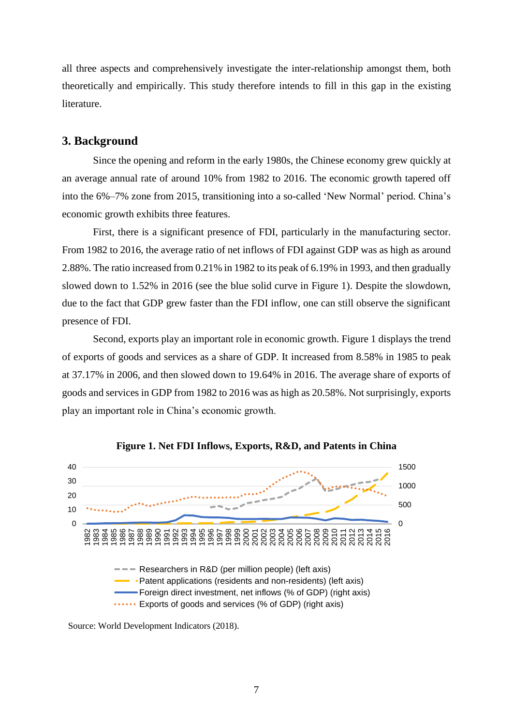all three aspects and comprehensively investigate the inter-relationship amongst them, both theoretically and empirically. This study therefore intends to fill in this gap in the existing literature.

### **3. Background**

Since the opening and reform in the early 1980s, the Chinese economy grew quickly at an average annual rate of around 10% from 1982 to 2016. The economic growth tapered off into the 6%–7% zone from 2015, transitioning into a so-called 'New Normal' period. China's economic growth exhibits three features.

First, there is a significant presence of FDI, particularly in the manufacturing sector. From 1982 to 2016, the average ratio of net inflows of FDI against GDP was as high as around 2.88%. The ratio increased from 0.21% in 1982 to its peak of 6.19% in 1993, and then gradually slowed down to 1.52% in 2016 (see the blue solid curve in Figure 1). Despite the slowdown, due to the fact that GDP grew faster than the FDI inflow, one can still observe the significant presence of FDI.

Second, exports play an important role in economic growth. Figure 1 displays the trend of exports of goods and services as a share of GDP. It increased from 8.58% in 1985 to peak at 37.17% in 2006, and then slowed down to 19.64% in 2016. The average share of exports of goods and services in GDP from 1982 to 2016 was as high as 20.58%. Not surprisingly, exports play an important role in China's economic growth.





Source: World Development Indicators (2018).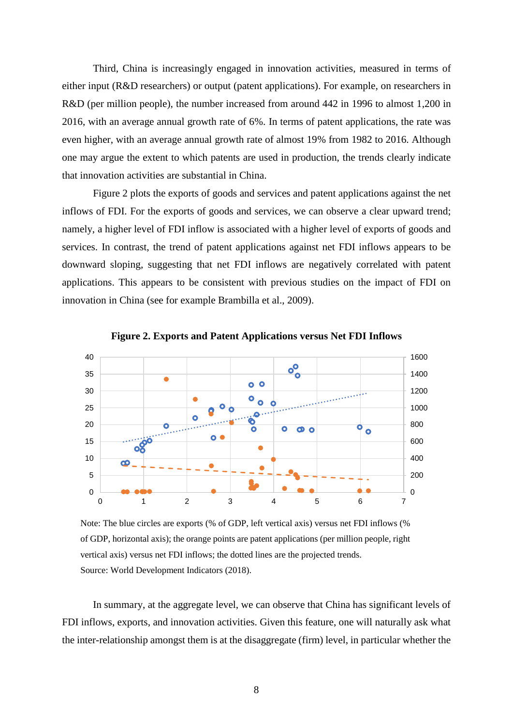Third, China is increasingly engaged in innovation activities, measured in terms of either input (R&D researchers) or output (patent applications). For example, on researchers in R&D (per million people), the number increased from around 442 in 1996 to almost 1,200 in 2016, with an average annual growth rate of 6%. In terms of patent applications, the rate was even higher, with an average annual growth rate of almost 19% from 1982 to 2016. Although one may argue the extent to which patents are used in production, the trends clearly indicate that innovation activities are substantial in China.

Figure 2 plots the exports of goods and services and patent applications against the net inflows of FDI. For the exports of goods and services, we can observe a clear upward trend; namely, a higher level of FDI inflow is associated with a higher level of exports of goods and services. In contrast, the trend of patent applications against net FDI inflows appears to be downward sloping, suggesting that net FDI inflows are negatively correlated with patent applications. This appears to be consistent with previous studies on the impact of FDI on innovation in China (see for example Brambilla et al., 2009).



**Figure 2. Exports and Patent Applications versus Net FDI Inflows**

Note: The blue circles are exports (% of GDP, left vertical axis) versus net FDI inflows (% of GDP, horizontal axis); the orange points are patent applications (per million people, right vertical axis) versus net FDI inflows; the dotted lines are the projected trends. Source: World Development Indicators (2018).

In summary, at the aggregate level, we can observe that China has significant levels of FDI inflows, exports, and innovation activities. Given this feature, one will naturally ask what the inter-relationship amongst them is at the disaggregate (firm) level, in particular whether the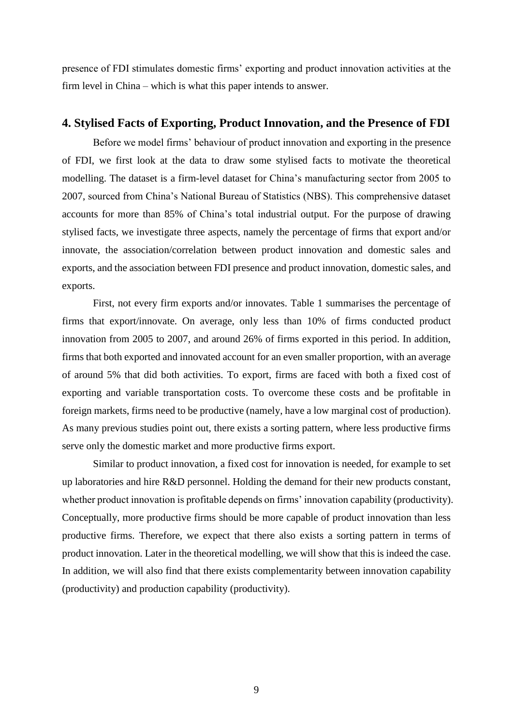presence of FDI stimulates domestic firms' exporting and product innovation activities at the firm level in China – which is what this paper intends to answer.

# **4. Stylised Facts of Exporting, Product Innovation, and the Presence of FDI**

Before we model firms' behaviour of product innovation and exporting in the presence of FDI, we first look at the data to draw some stylised facts to motivate the theoretical modelling. The dataset is a firm-level dataset for China's manufacturing sector from 2005 to 2007, sourced from China's National Bureau of Statistics (NBS). This comprehensive dataset accounts for more than 85% of China's total industrial output. For the purpose of drawing stylised facts, we investigate three aspects, namely the percentage of firms that export and/or innovate, the association/correlation between product innovation and domestic sales and exports, and the association between FDI presence and product innovation, domestic sales, and exports.

First, not every firm exports and/or innovates. Table 1 summarises the percentage of firms that export/innovate. On average, only less than 10% of firms conducted product innovation from 2005 to 2007, and around 26% of firms exported in this period. In addition, firms that both exported and innovated account for an even smaller proportion, with an average of around 5% that did both activities. To export, firms are faced with both a fixed cost of exporting and variable transportation costs. To overcome these costs and be profitable in foreign markets, firms need to be productive (namely, have a low marginal cost of production). As many previous studies point out, there exists a sorting pattern, where less productive firms serve only the domestic market and more productive firms export.

Similar to product innovation, a fixed cost for innovation is needed, for example to set up laboratories and hire R&D personnel. Holding the demand for their new products constant, whether product innovation is profitable depends on firms' innovation capability (productivity). Conceptually, more productive firms should be more capable of product innovation than less productive firms. Therefore, we expect that there also exists a sorting pattern in terms of product innovation. Later in the theoretical modelling, we will show that this is indeed the case. In addition, we will also find that there exists complementarity between innovation capability (productivity) and production capability (productivity).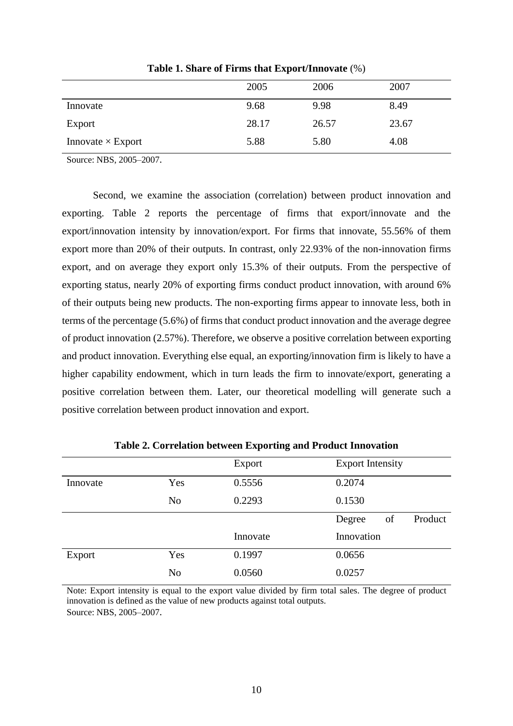|                          | 2005  | 2006  | 2007  |
|--------------------------|-------|-------|-------|
| Innovate                 | 9.68  | 9.98  | 8.49  |
| Export                   | 28.17 | 26.57 | 23.67 |
| Innovate $\times$ Export | 5.88  | 5.80  | 4.08  |

**Table 1. Share of Firms that Export/Innovate** (%)

Source: NBS, 2005–2007.

Second, we examine the association (correlation) between product innovation and exporting. Table 2 reports the percentage of firms that export/innovate and the export/innovation intensity by innovation/export. For firms that innovate, 55.56% of them export more than 20% of their outputs. In contrast, only 22.93% of the non-innovation firms export, and on average they export only 15.3% of their outputs. From the perspective of exporting status, nearly 20% of exporting firms conduct product innovation, with around 6% of their outputs being new products. The non-exporting firms appear to innovate less, both in terms of the percentage (5.6%) of firms that conduct product innovation and the average degree of product innovation (2.57%). Therefore, we observe a positive correlation between exporting and product innovation. Everything else equal, an exporting/innovation firm is likely to have a higher capability endowment, which in turn leads the firm to innovate/export, generating a positive correlation between them. Later, our theoretical modelling will generate such a positive correlation between product innovation and export.

|          |                | Export   | <b>Export Intensity</b> |
|----------|----------------|----------|-------------------------|
| Innovate | Yes            | 0.5556   | 0.2074                  |
|          | N <sub>o</sub> | 0.2293   | 0.1530                  |
|          |                |          | Product<br>Degree<br>of |
|          |                | Innovate | Innovation              |
| Export   | Yes            | 0.1997   | 0.0656                  |
|          | N <sub>o</sub> | 0.0560   | 0.0257                  |

**Table 2. Correlation between Exporting and Product Innovation**

Note: Export intensity is equal to the export value divided by firm total sales. The degree of product innovation is defined as the value of new products against total outputs. Source: NBS, 2005–2007.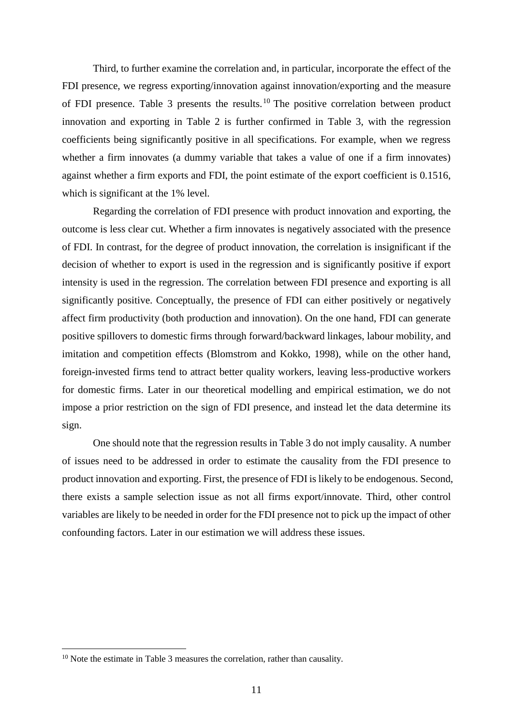Third, to further examine the correlation and, in particular, incorporate the effect of the FDI presence, we regress exporting/innovation against innovation/exporting and the measure of FDI presence. Table 3 presents the results.<sup>10</sup> The positive correlation between product innovation and exporting in Table 2 is further confirmed in Table 3, with the regression coefficients being significantly positive in all specifications. For example, when we regress whether a firm innovates (a dummy variable that takes a value of one if a firm innovates) against whether a firm exports and FDI, the point estimate of the export coefficient is 0.1516, which is significant at the 1% level.

Regarding the correlation of FDI presence with product innovation and exporting, the outcome is less clear cut. Whether a firm innovates is negatively associated with the presence of FDI. In contrast, for the degree of product innovation, the correlation is insignificant if the decision of whether to export is used in the regression and is significantly positive if export intensity is used in the regression. The correlation between FDI presence and exporting is all significantly positive. Conceptually, the presence of FDI can either positively or negatively affect firm productivity (both production and innovation). On the one hand, FDI can generate positive spillovers to domestic firms through forward/backward linkages, labour mobility, and imitation and competition effects (Blomstrom and Kokko, 1998), while on the other hand, foreign-invested firms tend to attract better quality workers, leaving less-productive workers for domestic firms. Later in our theoretical modelling and empirical estimation, we do not impose a prior restriction on the sign of FDI presence, and instead let the data determine its sign.

One should note that the regression results in Table 3 do not imply causality. A number of issues need to be addressed in order to estimate the causality from the FDI presence to product innovation and exporting. First, the presence of FDI is likely to be endogenous. Second, there exists a sample selection issue as not all firms export/innovate. Third, other control variables are likely to be needed in order for the FDI presence not to pick up the impact of other confounding factors. Later in our estimation we will address these issues.

<u>.</u>

<sup>&</sup>lt;sup>10</sup> Note the estimate in Table 3 measures the correlation, rather than causality.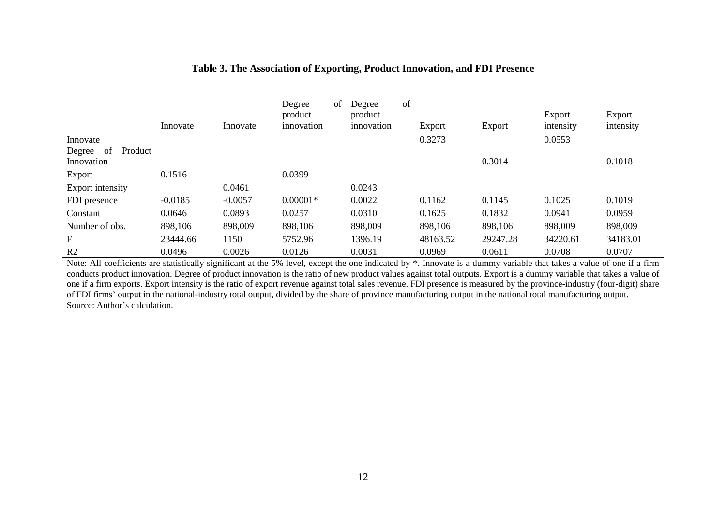|                          | Innovate  | Innovate  | Degree<br>product<br>innovation | of | Degree<br>product<br>innovation | of | Export   | Export   | Export<br>intensity | Export<br>intensity |
|--------------------------|-----------|-----------|---------------------------------|----|---------------------------------|----|----------|----------|---------------------|---------------------|
| Innovate                 |           |           |                                 |    |                                 |    | 0.3273   |          | 0.0553              |                     |
| -of<br>Product<br>Degree |           |           |                                 |    |                                 |    |          |          |                     |                     |
| Innovation               |           |           |                                 |    |                                 |    |          | 0.3014   |                     | 0.1018              |
| Export                   | 0.1516    |           | 0.0399                          |    |                                 |    |          |          |                     |                     |
| Export intensity         |           | 0.0461    |                                 |    | 0.0243                          |    |          |          |                     |                     |
| FDI presence             | $-0.0185$ | $-0.0057$ | $0.00001*$                      |    | 0.0022                          |    | 0.1162   | 0.1145   | 0.1025              | 0.1019              |
| Constant                 | 0.0646    | 0.0893    | 0.0257                          |    | 0.0310                          |    | 0.1625   | 0.1832   | 0.0941              | 0.0959              |
| Number of obs.           | 898,106   | 898,009   | 898,106                         |    | 898,009                         |    | 898,106  | 898,106  | 898,009             | 898,009             |
| F                        | 23444.66  | 1150      | 5752.96                         |    | 1396.19                         |    | 48163.52 | 29247.28 | 34220.61            | 34183.01            |
| R <sub>2</sub>           | 0.0496    | 0.0026    | 0.0126                          |    | 0.0031                          |    | 0.0969   | 0.0611   | 0.0708              | 0.0707              |

# **Table 3. The Association of Exporting, Product Innovation, and FDI Presence**

Note: All coefficients are statistically significant at the 5% level, except the one indicated by  $*$ . Innovate is a dummy variable that takes a value of one if a firm conducts product innovation. Degree of product innovation is the ratio of new product values against total outputs. Export is a dummy variable that takes a value of one if a firm exports. Export intensity is the ratio of export revenue against total sales revenue. FDI presence is measured by the province-industry (four-digit) share of FDI firms' output in the national-industry total output, divided by the share of province manufacturing output in the national total manufacturing output. Source: Author's calculation.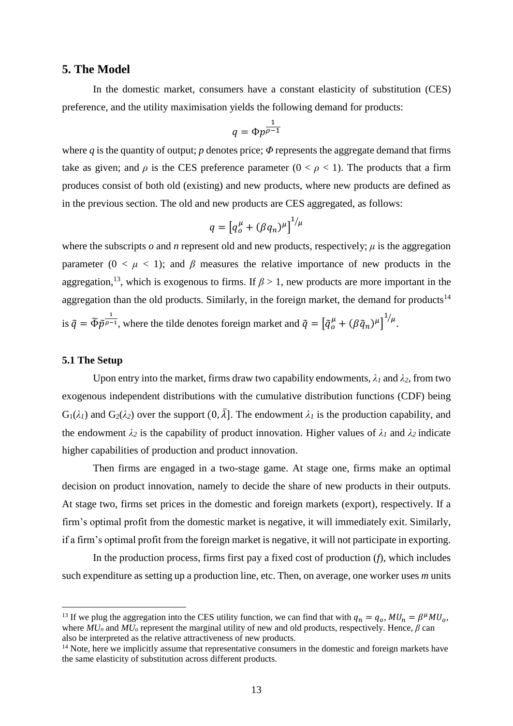### **5. The Model**

In the domestic market, consumers have a constant elasticity of substitution (CES) preference, and the utility maximisation yields the following demand for products:

$$
q = \Phi p^{\tfrac{1}{\rho-1}}
$$

where *q* is the quantity of output; *p* denotes price;  $\Phi$  represents the aggregate demand that firms take as given; and  $\rho$  is the CES preference parameter ( $0 < \rho < 1$ ). The products that a firm produces consist of both old (existing) and new products, where new products are defined as in the previous section. The old and new products are CES aggregated, as follows:

$$
q = \left[q_o^{\mu} + (\beta q_n)^{\mu}\right]^{1/\mu}
$$

where the subscripts  $o$  and  $n$  represent old and new products, respectively;  $\mu$  is the aggregation parameter  $(0 < \mu < 1)$ ; and  $\beta$  measures the relative importance of new products in the aggregation,<sup>13</sup>, which is exogenous to firms. If  $\beta > 1$ , new products are more important in the aggregation than the old products. Similarly, in the foreign market, the demand for products<sup>14</sup> is  $\tilde{q} = \tilde{\Phi} \tilde{p}^{\frac{1}{\rho-1}}$ , where the tilde denotes foreign market and  $\tilde{q} = \left[\tilde{q}_o^{\mu} + (\beta \tilde{q}_n)^{\mu}\right]^{1/\mu}$ .

#### **5.1 The Setup**

1

Upon entry into the market, firms draw two capability endowments,  $\lambda_1$  and  $\lambda_2$ , from two exogenous independent distributions with the cumulative distribution functions (CDF) being  $G_1(\lambda_1)$  and  $G_2(\lambda_2)$  over the support  $(0, \overline{\lambda})$ . The endowment  $\lambda_1$  is the production capability, and the endowment  $\lambda_2$  is the capability of product innovation. Higher values of  $\lambda_1$  and  $\lambda_2$  indicate higher capabilities of production and product innovation.

Then firms are engaged in a two-stage game. At stage one, firms make an optimal decision on product innovation, namely to decide the share of new products in their outputs. At stage two, firms set prices in the domestic and foreign markets (export), respectively. If a firm's optimal profit from the domestic market is negative, it will immediately exit. Similarly, if a firm's optimal profit from the foreign market is negative, it will not participate in exporting.

In the production process, firms first pay a fixed cost of production (*f*), which includes such expenditure as setting up a production line, etc. Then, on average, one worker uses *m* units

<sup>&</sup>lt;sup>13</sup> If we plug the aggregation into the CES utility function, we can find that with  $q_n = q_o$ ,  $MU_n = \beta^{\mu}MU_o$ , where  $\overline{MU_n}$  and  $\overline{MU_o}$  represent the marginal utility of new and old products, respectively. Hence,  $\beta$  can also be interpreted as the relative attractiveness of new products.

<sup>&</sup>lt;sup>14</sup> Note, here we implicitly assume that representative consumers in the domestic and foreign markets have the same elasticity of substitution across different products.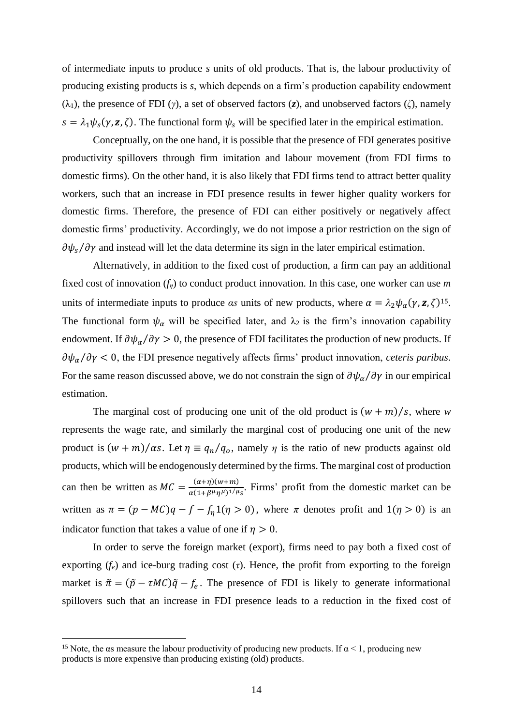of intermediate inputs to produce *s* units of old products. That is, the labour productivity of producing existing products is *s*, which depends on a firm's production capability endowment (λ1), the presence of FDI (*γ*), a set of observed factors (*z*), and unobserved factors (*ζ*), namely  $s = \lambda_1 \psi_s(\gamma, z, \zeta)$ . The functional form  $\psi_s$  will be specified later in the empirical estimation.

Conceptually, on the one hand, it is possible that the presence of FDI generates positive productivity spillovers through firm imitation and labour movement (from FDI firms to domestic firms). On the other hand, it is also likely that FDI firms tend to attract better quality workers, such that an increase in FDI presence results in fewer higher quality workers for domestic firms. Therefore, the presence of FDI can either positively or negatively affect domestic firms' productivity. Accordingly, we do not impose a prior restriction on the sign of  $\partial \psi_s / \partial \gamma$  and instead will let the data determine its sign in the later empirical estimation.

Alternatively, in addition to the fixed cost of production, a firm can pay an additional fixed cost of innovation (*fη*) to conduct product innovation. In this case, one worker can use *m* units of intermediate inputs to produce *αs* units of new products, where  $\alpha = \lambda_2 \psi_\alpha(\gamma, \mathbf{z}, \zeta)^{15}$ . The functional form  $\psi_{\alpha}$  will be specified later, and  $\lambda_2$  is the firm's innovation capability endowment. If  $\partial \psi_\alpha / \partial \gamma > 0$ , the presence of FDI facilitates the production of new products. If  $\partial \psi_\alpha / \partial \gamma < 0$ , the FDI presence negatively affects firms' product innovation, *ceteris paribus*. For the same reason discussed above, we do not constrain the sign of  $\partial \psi_\alpha / \partial \gamma$  in our empirical estimation.

The marginal cost of producing one unit of the old product is  $(w + m)/s$ , where *w* represents the wage rate, and similarly the marginal cost of producing one unit of the new product is  $(w + m)/\alpha s$ . Let  $\eta \equiv q_n/q_o$ , namely  $\eta$  is the ratio of new products against old products, which will be endogenously determined by the firms. The marginal cost of production can then be written as  $MC = \frac{(\alpha + \eta)(w + m)}{(\alpha + \eta)(w + \eta)}$  $\frac{(\alpha+\eta)(w+m)}{\alpha(1+\beta^{\mu}\eta^{\mu})^{1/\mu}s}$ . Firms' profit from the domestic market can be written as  $\pi = (p - MC)q - f - f_n(1(\eta > 0))$ , where  $\pi$  denotes profit and  $1(\eta > 0)$  is an indicator function that takes a value of one if  $\eta > 0$ .

In order to serve the foreign market (export), firms need to pay both a fixed cost of exporting  $(f_e)$  and ice-burg trading cost  $(\tau)$ . Hence, the profit from exporting to the foreign market is  $\tilde{\pi} = (\tilde{p} - \tau MC)\tilde{q} - f_e$ . The presence of FDI is likely to generate informational spillovers such that an increase in FDI presence leads to a reduction in the fixed cost of

<u>.</u>

<sup>&</sup>lt;sup>15</sup> Note, the as measure the labour productivity of producing new products. If  $\alpha$  < 1, producing new products is more expensive than producing existing (old) products.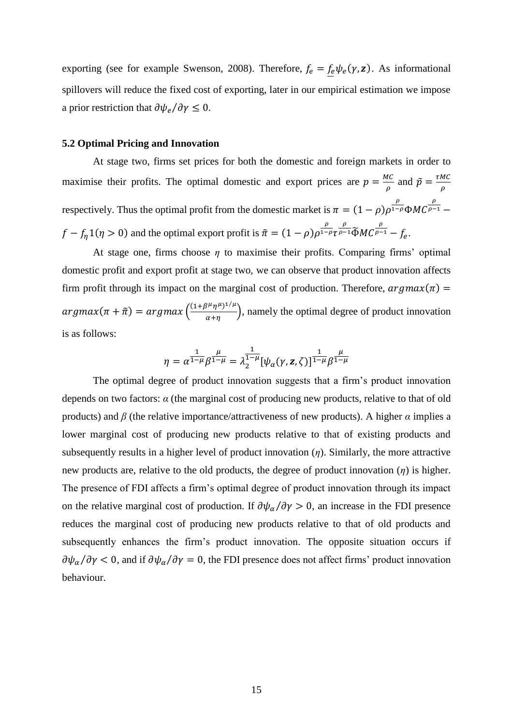exporting (see for example Swenson, 2008). Therefore,  $f_e = f_e \psi_e(\gamma, \mathbf{z})$ . As informational spillovers will reduce the fixed cost of exporting, later in our empirical estimation we impose a prior restriction that  $\partial \psi_e / \partial \gamma \leq 0$ .

#### **5.2 Optimal Pricing and Innovation**

At stage two, firms set prices for both the domestic and foreign markets in order to maximise their profits. The optimal domestic and export prices are  $p = \frac{MC}{2}$  $\frac{AC}{\rho}$  and  $\tilde{p} = \frac{\tau MC}{\rho}$  $\rho$ respectively. Thus the optimal profit from the domestic market is  $\pi = (1 - \rho)\rho^{\frac{\rho}{1 - \rho}}$  $\overline{1-\rho}$  $\Phi MC$  $\rho$  $\overline{\rho-1}$  –  $f - f_{\eta}1(\eta > 0)$  and the optimal export profit is  $\tilde{\pi} = (1 - \rho)\rho^{\frac{\rho}{1 - \eta}}$  $1-\rho\tau$  $\frac{\rho}{\rho-1}\widetilde{\Phi}MC^{\frac{\rho}{\rho-1}}$  $\overline{\rho-1} - f_e.$ 

At stage one, firms choose *η* to maximise their profits. Comparing firms' optimal domestic profit and export profit at stage two, we can observe that product innovation affects firm profit through its impact on the marginal cost of production. Therefore,  $argmax(\pi) =$  $argmax(\pi + \tilde{\pi}) = argmax\left(\frac{(1+\beta^{\mu}\eta^{\mu})^{1/\mu}}{\gamma + \sigma}\right)$  $\frac{d\mathbf{r}}{d\mathbf{r}}$ , namely the optimal degree of product innovation is as follows:

$$
\eta = \alpha^{\frac{1}{1-\mu}} \beta^{\frac{\mu}{1-\mu}} = \lambda_2^{\frac{1}{1-\mu}} [\psi_\alpha(\gamma, z, \zeta)]^{\frac{1}{1-\mu}} \beta^{\frac{\mu}{1-\mu}}
$$

The optimal degree of product innovation suggests that a firm's product innovation depends on two factors: *α* (the marginal cost of producing new products, relative to that of old products) and  $\beta$  (the relative importance/attractiveness of new products). A higher  $\alpha$  implies a lower marginal cost of producing new products relative to that of existing products and subsequently results in a higher level of product innovation (*η*). Similarly, the more attractive new products are, relative to the old products, the degree of product innovation (*η*) is higher. The presence of FDI affects a firm's optimal degree of product innovation through its impact on the relative marginal cost of production. If  $\partial \psi_\alpha / \partial \gamma > 0$ , an increase in the FDI presence reduces the marginal cost of producing new products relative to that of old products and subsequently enhances the firm's product innovation. The opposite situation occurs if  $\partial \psi_\alpha/\partial \gamma < 0$ , and if  $\partial \psi_\alpha/\partial \gamma = 0$ , the FDI presence does not affect firms' product innovation behaviour.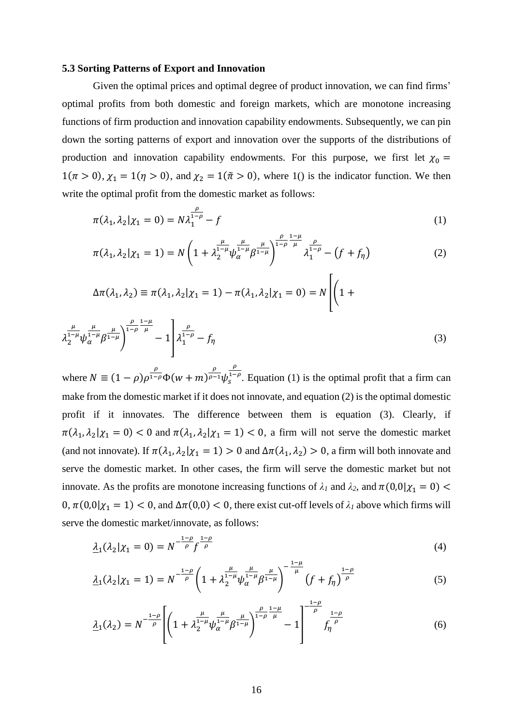#### **5.3 Sorting Patterns of Export and Innovation**

Given the optimal prices and optimal degree of product innovation, we can find firms' optimal profits from both domestic and foreign markets, which are monotone increasing functions of firm production and innovation capability endowments. Subsequently, we can pin down the sorting patterns of export and innovation over the supports of the distributions of production and innovation capability endowments. For this purpose, we first let  $\chi_0 =$  $1(\pi > 0)$ ,  $\chi_1 = 1(\eta > 0)$ , and  $\chi_2 = 1(\tilde{\pi} > 0)$ , where 1() is the indicator function. We then write the optimal profit from the domestic market as follows:

$$
\pi(\lambda_1, \lambda_2 | \chi_1 = 0) = N \lambda_1^{\frac{\rho}{1 - \rho}} - f \tag{1}
$$

$$
\pi(\lambda_1, \lambda_2 | \chi_1 = 1) = N \left( 1 + \lambda_2^{\frac{\mu}{1-\mu}} \psi_\alpha^{\frac{\mu}{1-\mu}} \beta^{\frac{\mu}{1-\mu}} \right)^{\frac{\rho}{1-\rho}} \lambda_1^{\frac{\rho}{1-\rho}} - \left( f + f_\eta \right) \tag{2}
$$

$$
\Delta \pi(\lambda_1, \lambda_2) \equiv \pi(\lambda_1, \lambda_2 | \chi_1 = 1) - \pi(\lambda_1, \lambda_2 | \chi_1 = 0) = N \left[ \left( 1 + \frac{\mu_1(\lambda_1, \lambda_2) - \mu_1(\lambda_1, \lambda_2)}{\mu_1(\lambda_1, \lambda_2)} \right) \right]
$$

$$
\lambda_2^{\frac{\mu}{1-\mu}} \psi_\alpha^{\frac{\mu}{1-\mu}} \beta^{\frac{\mu}{1-\mu}} \bigg)^{\frac{\rho}{1-\rho}} - 1 \left[ \lambda_1^{\frac{\rho}{1-\rho}} - f_\eta \right]
$$
 (3)

where  $N \equiv (1 - \rho)\rho^{\frac{\rho}{1 - \rho}}\Phi(w + m)^{\frac{\rho}{\rho - \rho}}$  $\overline{\rho-1}\psi^1_S$  $\rho$  $\int_{s}^{1-\rho}$ . Equation (1) is the optimal profit that a firm can make from the domestic market if it does not innovate, and equation (2) is the optimal domestic profit if it innovates. The difference between them is equation (3). Clearly, if  $\pi(\lambda_1, \lambda_2 | \chi_1 = 0) < 0$  and  $\pi(\lambda_1, \lambda_2 | \chi_1 = 1) < 0$ , a firm will not serve the domestic market (and not innovate). If  $\pi(\lambda_1, \lambda_2 | \chi_1 = 1) > 0$  and  $\Delta \pi(\lambda_1, \lambda_2) > 0$ , a firm will both innovate and serve the domestic market. In other cases, the firm will serve the domestic market but not innovate. As the profits are monotone increasing functions of  $\lambda_1$  and  $\lambda_2$ , and  $\pi(0,0|\chi_1 = 0)$  $0, \pi(0,0|\chi_1 = 1) < 0$ , and  $\Delta \pi(0,0) < 0$ , there exist cut-off levels of  $\lambda_1$  above which firms will serve the domestic market/innovate, as follows:

$$
\underline{\lambda}_1(\lambda_2|\chi_1=0)=N^{-\frac{1-\rho}{\rho}}f^{\frac{1-\rho}{\rho}}\tag{4}
$$

$$
\underline{\lambda}_1(\lambda_2|\chi_1=1) = N^{-\frac{1-\rho}{\rho}} \left(1 + \lambda_2^{\frac{\mu}{1-\mu}} \psi_\alpha^{\frac{\mu}{1-\mu}} \beta^{\frac{\mu}{1-\mu}}\right)^{-\frac{1-\mu}{\mu}} \left(f + f_\eta\right)^{\frac{1-\rho}{\rho}}
$$
(5)

$$
\underline{\lambda}_{1}(\lambda_{2}) = N^{-\frac{1-\rho}{\rho}} \left[ \left( 1 + \lambda_{2}^{\frac{\mu}{1-\mu}} \psi_{\alpha}^{\frac{\mu}{1-\mu}} \beta^{\frac{\mu}{1-\mu}} \right)^{\frac{\rho}{1-\rho}\frac{1-\mu}{\mu}} - 1 \right]^{-\frac{1-\rho}{\rho}} f_{\eta}^{\frac{1-\rho}{\rho}} \tag{6}
$$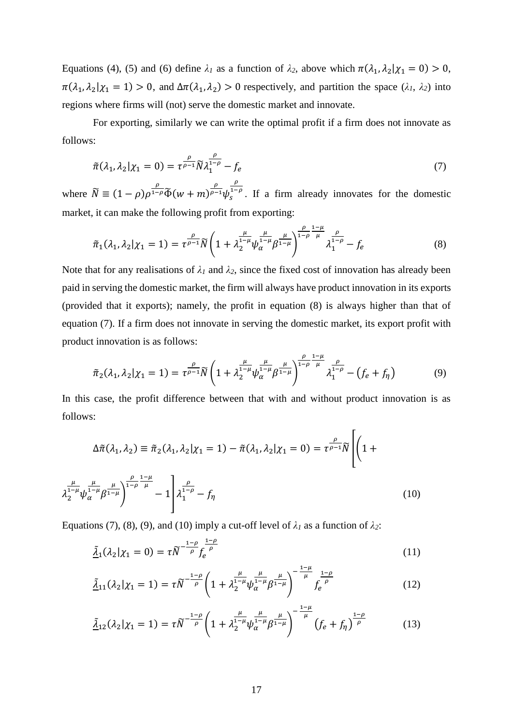Equations (4), (5) and (6) define  $\lambda_1$  as a function of  $\lambda_2$ , above which  $\pi(\lambda_1, \lambda_2 | \chi_1 = 0) > 0$ ,  $\pi(\lambda_1, \lambda_2 | \chi_1 = 1) > 0$ , and  $\Delta \pi(\lambda_1, \lambda_2) > 0$  respectively, and partition the space  $(\lambda_1, \lambda_2)$  into regions where firms will (not) serve the domestic market and innovate.

For exporting, similarly we can write the optimal profit if a firm does not innovate as follows:

$$
\tilde{\pi}(\lambda_1, \lambda_2 | \chi_1 = 0) = \tau^{\frac{\rho}{\rho - 1}} \tilde{N} \lambda_1^{\frac{\rho}{1 - \rho}} - f_e \tag{7}
$$

where  $\widetilde{N} \equiv (1 - \rho)\rho^{\frac{\rho}{1 - \rho}}\widetilde{\Phi}(w + m)^{\frac{\rho}{\rho - \rho}}$  $\sqrt{\rho-1}\psi_s^1$  $\rho$  $\int_{s}^{1-\rho}$ . If a firm already innovates for the domestic market, it can make the following profit from exporting:

$$
\tilde{\pi}_1(\lambda_1, \lambda_2 | \chi_1 = 1) = \tau^{\frac{\rho}{\rho - 1}} \tilde{N} \left( 1 + \lambda_2^{\frac{\mu}{1 - \mu}} \psi_{\alpha}^{\frac{\mu}{1 - \mu}} \beta^{\frac{\mu}{1 - \mu}} \right)^{\frac{\rho}{1 - \rho}} \lambda_1^{\frac{\rho}{1 - \rho}} - f_e \tag{8}
$$

Note that for any realisations of  $\lambda_1$  and  $\lambda_2$ , since the fixed cost of innovation has already been paid in serving the domestic market, the firm will always have product innovation in its exports (provided that it exports); namely, the profit in equation (8) is always higher than that of equation (7). If a firm does not innovate in serving the domestic market, its export profit with product innovation is as follows:

$$
\tilde{\pi}_2(\lambda_1, \lambda_2 | \chi_1 = 1) = \tau^{\frac{\rho}{\rho - 1}} \tilde{N} \left( 1 + \lambda_2^{\frac{\mu}{1 - \mu}} \psi_\alpha^{\frac{\mu}{1 - \mu}} \beta^{\frac{\mu}{1 - \mu}} \right)^{\frac{\rho}{1 - \rho} \frac{1 - \mu}{\mu}} \lambda_1^{\frac{\rho}{1 - \rho}} - \left( f_e + f_\eta \right) \tag{9}
$$

In this case, the profit difference between that with and without product innovation is as follows:

$$
\Delta \tilde{\pi}(\lambda_1, \lambda_2) \equiv \tilde{\pi}_2(\lambda_1, \lambda_2 | \chi_1 = 1) - \tilde{\pi}(\lambda_1, \lambda_2 | \chi_1 = 0) = \tau^{\frac{\rho}{\rho - 1}} \tilde{N} \left[ \left( 1 + \lambda_2^{\frac{\mu}{1 - \mu}} \psi_{\alpha}^{\frac{\mu}{1 - \mu}} \beta_{1 - \mu}^{\frac{\rho}{1 - \rho}} \right) - 1 \right] \lambda_1^{\frac{\rho}{1 - \rho}} - f_\eta
$$
\n(10)

Equations (7), (8), (9), and (10) imply a cut-off level of  $\lambda_1$  as a function of  $\lambda_2$ :

$$
\underline{\tilde{\lambda}}_1(\lambda_2|\chi_1=0)=\tau\widetilde{N}^{-\frac{1-\rho}{\rho}}f_e^{\frac{1-\rho}{\rho}}
$$
\n(11)

$$
\underline{\tilde{\lambda}}_{11}(\lambda_2|\chi_1=1)=\tau\widetilde{N}^{-\frac{1-\rho}{\rho}}\bigg(1+\lambda_2^{\frac{\mu}{1-\mu}}\psi_\alpha^{\frac{\mu}{1-\mu}}\beta^{\frac{\mu}{1-\mu}}\bigg)^{-\frac{1-\mu}{\mu}}f_e^{\frac{1-\rho}{\rho}}\qquad(12)
$$

$$
\underline{\tilde{\lambda}}_{12}(\lambda_2|\chi_1=1) = \tau \widetilde{N}^{-\frac{1-\rho}{\rho}} \left(1 + \lambda_2^{\frac{\mu}{1-\mu}} \psi_\alpha^{\frac{\mu}{1-\mu}} \beta^{\frac{\mu}{1-\mu}}\right)^{-\frac{1-\mu}{\mu}} \left(f_e + f_\eta\right)^{\frac{1-\rho}{\rho}}
$$
(13)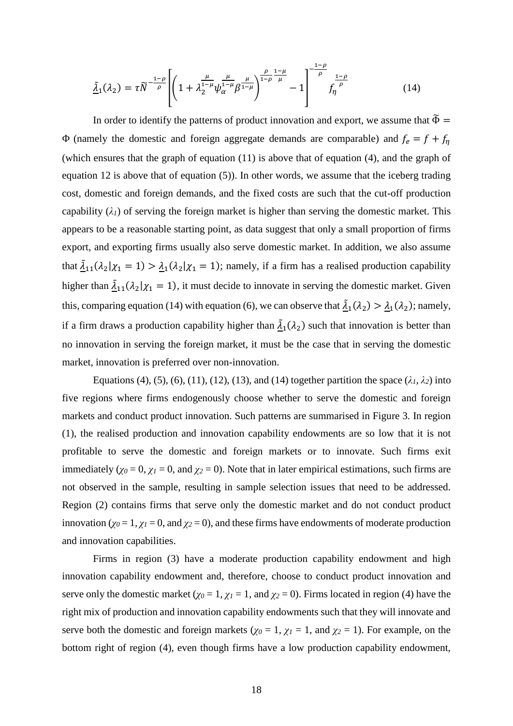$$
\underline{\tilde{\lambda}}_1(\lambda_2) = \tau \widetilde{N}^{-\frac{1-\rho}{\rho}} \left[ \left( 1 + \lambda_2^{\frac{\mu}{1-\mu}} \psi_\alpha^{\frac{\mu}{1-\mu}} \beta^{\frac{\mu}{1-\mu}} \right)^{\frac{\rho}{1-\rho} \frac{1-\mu}{\mu}} - 1 \right]^{-\frac{1-\rho}{\rho}} f_\eta^{\frac{1-\rho}{\rho}} \tag{14}
$$

In order to identify the patterns of product innovation and export, we assume that  $\widetilde{\Phi} =$ Φ (namely the domestic and foreign aggregate demands are comparable) and  $f_e = f + f_\eta$ (which ensures that the graph of equation (11) is above that of equation (4), and the graph of equation 12 is above that of equation (5)). In other words, we assume that the iceberg trading cost, domestic and foreign demands, and the fixed costs are such that the cut-off production capability  $(\lambda_I)$  of serving the foreign market is higher than serving the domestic market. This appears to be a reasonable starting point, as data suggest that only a small proportion of firms export, and exporting firms usually also serve domestic market. In addition, we also assume that  $\underline{\tilde{\lambda}}_{11}(\lambda_2|\chi_1 = 1) > \underline{\lambda}_1(\lambda_2|\chi_1 = 1)$ ; namely, if a firm has a realised production capability higher than  $\frac{\tilde{\lambda}_{11}(\lambda_2|\chi_1=1)}{\chi_1=1}$ , it must decide to innovate in serving the domestic market. Given this, comparing equation (14) with equation (6), we can observe that  $\tilde{\lambda}_1(\lambda_2) > \lambda_1(\lambda_2)$ ; namely, if a firm draws a production capability higher than  $\tilde{\lambda}_1(\lambda_2)$  such that innovation is better than no innovation in serving the foreign market, it must be the case that in serving the domestic market, innovation is preferred over non-innovation.

Equations (4), (5), (6), (11), (12), (13), and (14) together partition the space  $(\lambda_1, \lambda_2)$  into five regions where firms endogenously choose whether to serve the domestic and foreign markets and conduct product innovation. Such patterns are summarised in Figure 3. In region (1), the realised production and innovation capability endowments are so low that it is not profitable to serve the domestic and foreign markets or to innovate. Such firms exit immediately ( $\chi$ <sup>0</sup> = 0,  $\chi$ <sup>*1*</sup> = 0, and  $\chi$ <sup>2</sup> = 0). Note that in later empirical estimations, such firms are not observed in the sample, resulting in sample selection issues that need to be addressed. Region (2) contains firms that serve only the domestic market and do not conduct product innovation ( $\chi$ <sup>0</sup> = 1,  $\chi$ <sup>1</sup> = 0, and  $\chi$ <sup>2</sup> = 0), and these firms have endowments of moderate production and innovation capabilities.

Firms in region (3) have a moderate production capability endowment and high innovation capability endowment and, therefore, choose to conduct product innovation and serve only the domestic market ( $\chi_0 = 1$ ,  $\chi_1 = 1$ , and  $\chi_2 = 0$ ). Firms located in region (4) have the right mix of production and innovation capability endowments such that they will innovate and serve both the domestic and foreign markets ( $\chi_0 = 1$ ,  $\chi_1 = 1$ , and  $\chi_2 = 1$ ). For example, on the bottom right of region (4), even though firms have a low production capability endowment,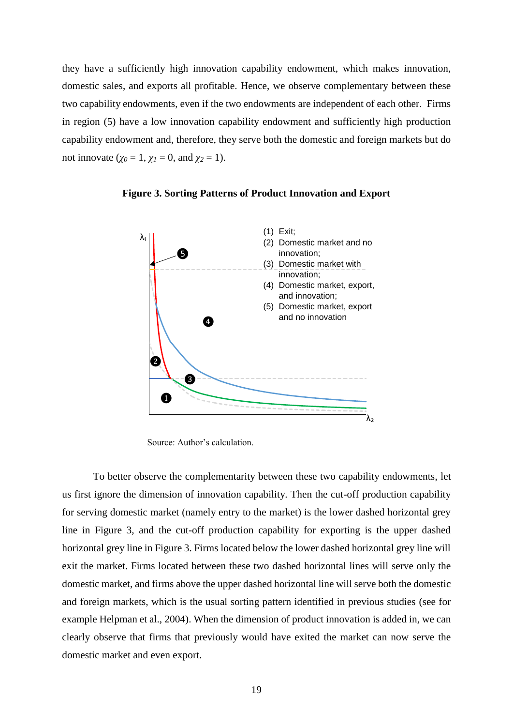they have a sufficiently high innovation capability endowment, which makes innovation, domestic sales, and exports all profitable. Hence, we observe complementary between these two capability endowments, even if the two endowments are independent of each other. Firms in region (5) have a low innovation capability endowment and sufficiently high production capability endowment and, therefore, they serve both the domestic and foreign markets but do not innovate ( $\gamma_0 = 1$ ,  $\gamma_1 = 0$ , and  $\gamma_2 = 1$ ).



**Figure 3. Sorting Patterns of Product Innovation and Export**

Source: Author's calculation.

To better observe the complementarity between these two capability endowments, let us first ignore the dimension of innovation capability. Then the cut-off production capability for serving domestic market (namely entry to the market) is the lower dashed horizontal grey line in Figure 3, and the cut-off production capability for exporting is the upper dashed horizontal grey line in Figure 3. Firms located below the lower dashed horizontal grey line will exit the market. Firms located between these two dashed horizontal lines will serve only the domestic market, and firms above the upper dashed horizontal line will serve both the domestic and foreign markets, which is the usual sorting pattern identified in previous studies (see for example Helpman et al., 2004). When the dimension of product innovation is added in, we can clearly observe that firms that previously would have exited the market can now serve the domestic market and even export.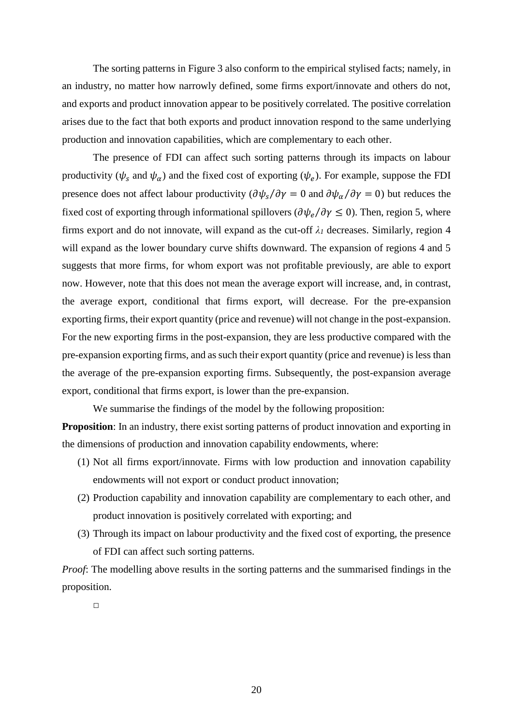The sorting patterns in Figure 3 also conform to the empirical stylised facts; namely, in an industry, no matter how narrowly defined, some firms export/innovate and others do not, and exports and product innovation appear to be positively correlated. The positive correlation arises due to the fact that both exports and product innovation respond to the same underlying production and innovation capabilities, which are complementary to each other.

The presence of FDI can affect such sorting patterns through its impacts on labour productivity ( $\psi_s$  and  $\psi_\alpha$ ) and the fixed cost of exporting ( $\psi_e$ ). For example, suppose the FDI presence does not affect labour productivity  $(\partial \psi_s / \partial \gamma = 0$  and  $\partial \psi_\alpha / \partial \gamma = 0)$  but reduces the fixed cost of exporting through informational spillovers ( $\partial \psi_e / \partial \gamma \leq 0$ ). Then, region 5, where firms export and do not innovate, will expand as the cut-off  $\lambda_I$  decreases. Similarly, region 4 will expand as the lower boundary curve shifts downward. The expansion of regions 4 and 5 suggests that more firms, for whom export was not profitable previously, are able to export now. However, note that this does not mean the average export will increase, and, in contrast, the average export, conditional that firms export, will decrease. For the pre-expansion exporting firms, their export quantity (price and revenue) will not change in the post-expansion. For the new exporting firms in the post-expansion, they are less productive compared with the pre-expansion exporting firms, and as such their export quantity (price and revenue) is less than the average of the pre-expansion exporting firms. Subsequently, the post-expansion average export, conditional that firms export, is lower than the pre-expansion.

We summarise the findings of the model by the following proposition:

**Proposition**: In an industry, there exist sorting patterns of product innovation and exporting in the dimensions of production and innovation capability endowments, where:

- (1) Not all firms export/innovate. Firms with low production and innovation capability endowments will not export or conduct product innovation;
- (2) Production capability and innovation capability are complementary to each other, and product innovation is positively correlated with exporting; and
- (3) Through its impact on labour productivity and the fixed cost of exporting, the presence of FDI can affect such sorting patterns.

*Proof*: The modelling above results in the sorting patterns and the summarised findings in the proposition.

 $\Box$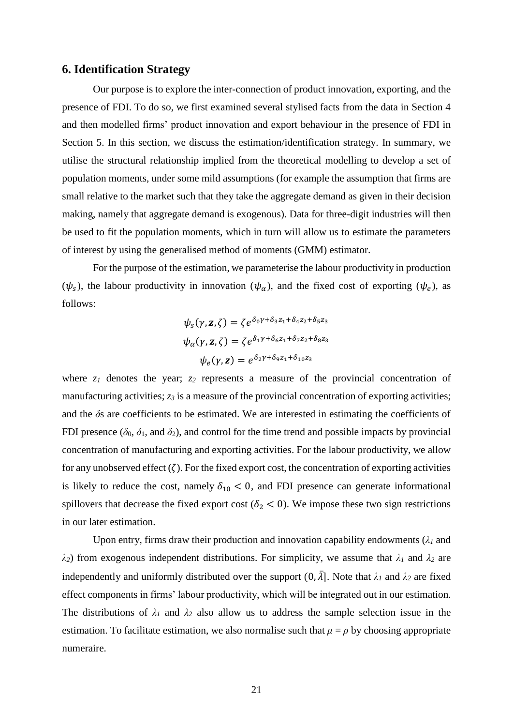### **6. Identification Strategy**

Our purpose is to explore the inter-connection of product innovation, exporting, and the presence of FDI. To do so, we first examined several stylised facts from the data in Section 4 and then modelled firms' product innovation and export behaviour in the presence of FDI in Section 5. In this section, we discuss the estimation/identification strategy. In summary, we utilise the structural relationship implied from the theoretical modelling to develop a set of population moments, under some mild assumptions (for example the assumption that firms are small relative to the market such that they take the aggregate demand as given in their decision making, namely that aggregate demand is exogenous). Data for three-digit industries will then be used to fit the population moments, which in turn will allow us to estimate the parameters of interest by using the generalised method of moments (GMM) estimator.

For the purpose of the estimation, we parameterise the labour productivity in production  $(\psi_s)$ , the labour productivity in innovation  $(\psi_\alpha)$ , and the fixed cost of exporting  $(\psi_e)$ , as follows:

$$
\psi_{s}(\gamma, \mathbf{z}, \zeta) = \zeta e^{\delta_{0} \gamma + \delta_{3} z_{1} + \delta_{4} z_{2} + \delta_{5} z_{3}}
$$

$$
\psi_{\alpha}(\gamma, \mathbf{z}, \zeta) = \zeta e^{\delta_{1} \gamma + \delta_{6} z_{1} + \delta_{7} z_{2} + \delta_{8} z_{3}}
$$

$$
\psi_{e}(\gamma, \mathbf{z}) = e^{\delta_{2} \gamma + \delta_{9} z_{1} + \delta_{10} z_{3}}
$$

where  $z_1$  denotes the year;  $z_2$  represents a measure of the provincial concentration of manufacturing activities;  $z_3$  is a measure of the provincial concentration of exporting activities; and the  $\delta s$  are coefficients to be estimated. We are interested in estimating the coefficients of FDI presence ( $\delta_0$ ,  $\delta_1$ , and  $\delta_2$ ), and control for the time trend and possible impacts by provincial concentration of manufacturing and exporting activities. For the labour productivity, we allow for any unobserved effect  $(\zeta)$ . For the fixed export cost, the concentration of exporting activities is likely to reduce the cost, namely  $\delta_{10}$  < 0, and FDI presence can generate informational spillovers that decrease the fixed export cost ( $\delta_2$  < 0). We impose these two sign restrictions in our later estimation.

Upon entry, firms draw their production and innovation capability endowments  $(\lambda_1)$  and *λ2*) from exogenous independent distributions. For simplicity, we assume that *λ<sup>1</sup>* and *λ<sup>2</sup>* are independently and uniformly distributed over the support  $(0, \overline{\lambda}]$ . Note that  $\lambda_1$  and  $\lambda_2$  are fixed effect components in firms' labour productivity, which will be integrated out in our estimation. The distributions of  $\lambda_1$  and  $\lambda_2$  also allow us to address the sample selection issue in the estimation. To facilitate estimation, we also normalise such that  $\mu = \rho$  by choosing appropriate numeraire.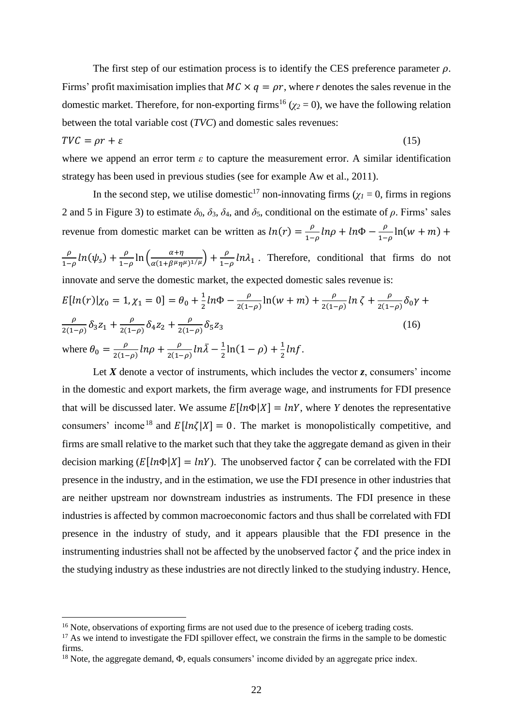The first step of our estimation process is to identify the CES preference parameter  $\rho$ . Firms' profit maximisation implies that  $MC \times q = \rho r$ , where *r* denotes the sales revenue in the domestic market. Therefore, for non-exporting firms<sup>16</sup> ( $\chi$ <sup>2</sup> = 0), we have the following relation between the total variable cost (*TVC*) and domestic sales revenues:

$$
TVC = \rho r + \varepsilon \tag{15}
$$

where we append an error term *ε* to capture the measurement error. A similar identification strategy has been used in previous studies (see for example Aw et al., 2011).

In the second step, we utilise domestic<sup>17</sup> non-innovating firms ( $\chi$ <sup>1</sup> = 0, firms in regions 2 and 5 in Figure 3) to estimate  $\delta_0$ ,  $\delta_3$ ,  $\delta_4$ , and  $\delta_5$ , conditional on the estimate of  $\rho$ . Firms' sales revenue from domestic market can be written as  $ln(r) = \frac{\rho}{r}$  $\frac{\rho}{1-\rho}ln\rho + ln\Phi - \frac{\rho}{1-\rho}$  $\frac{p}{1-\rho}$ ln(w + m) +  $\rho$  $\frac{\rho}{1-\rho}ln(\psi_s) + \frac{\rho}{1-\rho}$  $\frac{\rho}{1-\rho}$ ln  $\left(\frac{\alpha+\eta}{\alpha(1+\beta^{\mu}\eta)}\right)$  $\frac{\alpha+\eta}{\alpha(1+\beta^{\mu}\eta^{\mu})^{1/\mu}}$  +  $\frac{\rho}{1-\eta}$  $\frac{\rho}{1-\rho}$ ln $\lambda_1$ . Therefore, conditional that firms do not innovate and serve the domestic market, the expected domestic sales revenue is:

$$
E[ln(r)|\chi_0 = 1, \chi_1 = 0] = \theta_0 + \frac{1}{2}ln\Phi - \frac{\rho}{2(1-\rho)}ln(w+m) + \frac{\rho}{2(1-\rho)}ln\zeta + \frac{\rho}{2(1-\rho)}\delta_0\gamma + \frac{\rho}{2(1-\rho)}\delta_3 z_1 + \frac{\rho}{2(1-\rho)}\delta_4 z_2 + \frac{\rho}{2(1-\rho)}\delta_5 z_3
$$
\n(16)

\nwhere 
$$
\theta_0 = \frac{\rho}{2(1-\rho)}ln\rho + \frac{\rho}{2(1-\rho)}ln\bar{\lambda} - \frac{1}{2}ln(1-\rho) + \frac{1}{2}lnf.
$$

Let  $X$  denote a vector of instruments, which includes the vector  $\zeta$ , consumers' income in the domestic and export markets, the firm average wage, and instruments for FDI presence that will be discussed later. We assume  $E[ln\Phi|X] = lnY$ , where *Y* denotes the representative consumers' income <sup>18</sup> and  $E[ln\zeta|X] = 0$ . The market is monopolistically competitive, and firms are small relative to the market such that they take the aggregate demand as given in their decision marking  $(E[ln\Phi|X] = lnY)$ . The unobserved factor  $\zeta$  can be correlated with the FDI presence in the industry, and in the estimation, we use the FDI presence in other industries that are neither upstream nor downstream industries as instruments. The FDI presence in these industries is affected by common macroeconomic factors and thus shall be correlated with FDI presence in the industry of study, and it appears plausible that the FDI presence in the instrumenting industries shall not be affected by the unobserved factor  $\zeta$  and the price index in the studying industry as these industries are not directly linked to the studying industry. Hence,

1

<sup>&</sup>lt;sup>16</sup> Note, observations of exporting firms are not used due to the presence of iceberg trading costs.

<sup>&</sup>lt;sup>17</sup> As we intend to investigate the FDI spillover effect, we constrain the firms in the sample to be domestic firms.

<sup>18</sup> Note, the aggregate demand, Φ, equals consumers' income divided by an aggregate price index.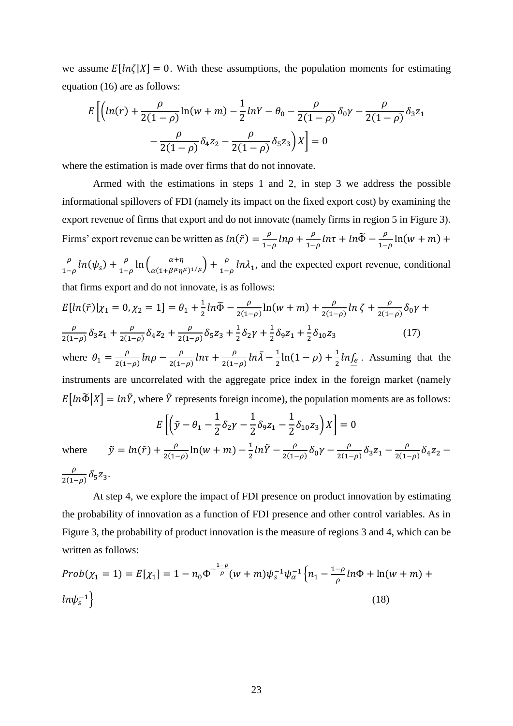we assume  $E[ln\zeta|X] = 0$ . With these assumptions, the population moments for estimating equation (16) are as follows:

$$
E\left[\left(\ln(r) + \frac{\rho}{2(1-\rho)}\ln(w+m) - \frac{1}{2}\ln(Y-\theta_0 - \frac{\rho}{2(1-\rho)}\delta_0\gamma - \frac{\rho}{2(1-\rho)}\delta_3 z_1 - \frac{\rho}{2(1-\rho)}\delta_4 z_2 - \frac{\rho}{2(1-\rho)}\delta_5 z_3\right)X\right] = 0
$$

where the estimation is made over firms that do not innovate.

Armed with the estimations in steps 1 and 2, in step 3 we address the possible informational spillovers of FDI (namely its impact on the fixed export cost) by examining the export revenue of firms that export and do not innovate (namely firms in region 5 in Figure 3). Firms' export revenue can be written as  $ln(\tilde{r}) = \frac{\rho}{r}$  $\frac{\rho}{1-\rho}ln\rho + \frac{\rho}{1-\rho}$  $\frac{\rho}{1-\rho}ln\tau + ln\widetilde{\Phi} - \frac{\rho}{1-\rho}$  $\frac{p}{1-\rho}$ ln(w + m) +  $\rho$  $\frac{\rho}{1-\rho}ln(\psi_s) + \frac{\rho}{1-\rho}$  $\frac{\rho}{1-\rho}$ ln  $\left(\frac{\alpha+\eta}{\alpha(1+\beta^{\mu}\eta)}\right)$  $\frac{\alpha+\eta}{\alpha(1+\beta^{\mu}\eta^{\mu})^{1/\mu}}$  +  $\frac{\rho}{1-\eta}$  $\frac{\rho}{1-\rho}$ ln $\lambda_1$ , and the expected export revenue, conditional that firms export and do not innovate, is as follows:

$$
E\left[\ln(\tilde{r})|\chi_1 = 0, \chi_2 = 1\right] = \theta_1 + \frac{1}{2}\ln\tilde{\Phi} - \frac{\rho}{2(1-\rho)}\ln(w+m) + \frac{\rho}{2(1-\rho)}\ln\zeta + \frac{\rho}{2(1-\rho)}\delta_0\gamma + \frac{\rho}{2(1-\rho)}\delta_3 z_1 + \frac{\rho}{2(1-\rho)}\delta_4 z_2 + \frac{\rho}{2(1-\rho)}\delta_5 z_3 + \frac{1}{2}\delta_2\gamma + \frac{1}{2}\delta_9 z_1 + \frac{1}{2}\delta_{10} z_3\tag{17}
$$

where  $\theta_1 = \frac{\rho}{2(1-\rho)}$  $\frac{\rho}{2(1-\rho)}ln\rho - \frac{\rho}{2(1-\rho)}$  $\frac{\rho}{2(1-\rho)}ln\tau + \frac{\rho}{2(1-\rho)}$  $\frac{\rho}{2(1-\rho)}ln\bar{\lambda} - \frac{1}{2}$  $\frac{1}{2}$ ln(1 –  $\rho$ ) +  $\frac{1}{2}$  $\frac{1}{2}ln f_e$ . Assuming that the instruments are uncorrelated with the aggregate price index in the foreign market (namely  $E[i\pi \tilde{\Phi}|X] = in\tilde{Y}$ , where  $\tilde{Y}$  represents foreign income), the population moments are as follows:

$$
E\left[\left(\tilde{y} - \theta_1 - \frac{1}{2}\delta_2\gamma - \frac{1}{2}\delta_9 z_1 - \frac{1}{2}\delta_{10} z_3\right)X\right] = 0
$$
  
+ 
$$
\frac{\rho}{2(1-\rho)}\ln(w+m) - \frac{1}{2}ln\tilde{Y} - \frac{\rho}{2(1-\rho)}\delta_0\gamma - \frac{\rho}{2(1-\rho)}\delta_3 z_1 - \frac{\rho}{2(1-\rho)}\delta_4 z_2 + \frac{\rho}{2(1-\rho)}\delta_5 z_3 - \frac{\rho}{2(1-\rho)}\delta_6 z_2 + \frac{\rho}{2(1-\rho)}\delta_7 z_3 + \frac{\rho}{2(1-\rho)}\delta_8 z_3 - \frac{\rho}{2(1-\rho)}\delta_7 z_1
$$

 $\frac{\rho}{2(1-\rho)}\delta_4 z_2 -$ 

where  $\tilde{y} = ln(\tilde{r}) + \frac{\rho}{c_1}$  $\frac{\rho}{2(1-\rho)}\ln(w+m) - \frac{1}{2}$  $rac{1}{2}ln\tilde{Y} - \frac{\rho}{2(1-\rho)}$  $\rho$  $\frac{\rho}{2(1-\rho)}\delta_5 z_3.$ 

At step 4, we explore the impact of FDI presence on product innovation by estimating the probability of innovation as a function of FDI presence and other control variables. As in Figure 3, the probability of product innovation is the measure of regions 3 and 4, which can be written as follows:

$$
Prob(\chi_1 = 1) = E[\chi_1] = 1 - n_0 \Phi^{-\frac{1-\rho}{\rho}} (w+m) \psi_s^{-1} \psi_\alpha^{-1} \left\{ n_1 - \frac{1-\rho}{\rho} \ln \Phi + \ln(w+m) + \ln(w_s^{-1}) \right\}
$$
(18)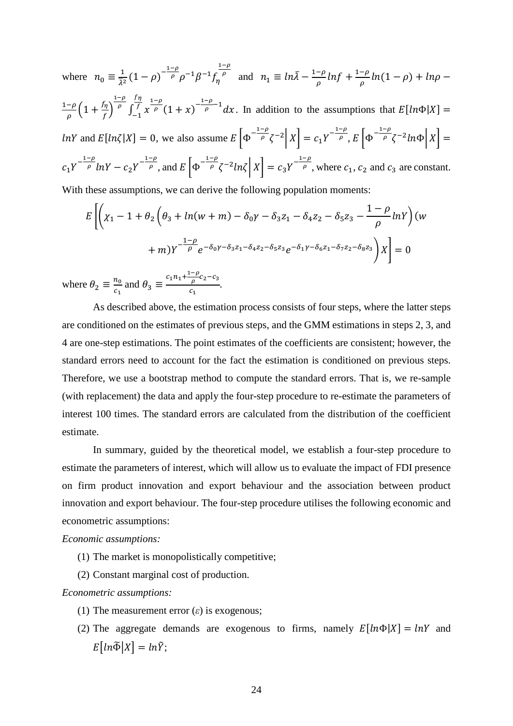where  $n_0 \equiv \frac{1}{\overline{\lambda}i}$  $rac{1}{\overline{\lambda}^2}(1-\rho)^{-\frac{1-\rho}{\rho}}$  $\overline{\rho} \rho^{-1} \beta^{-1} f_{\eta}$  $1-\rho$  $\overline{p}$  and  $n_1 \equiv ln\overline{\lambda} - \frac{1-\rho}{\rho}$  $\frac{-\rho}{\rho}$ lnf +  $\frac{1-\rho}{\rho}$  $\frac{-\rho}{\rho}ln(1-\rho) + ln\rho$  –  $1-\rho$  $\frac{-\rho}{\rho}\Big(1 + \frac{f_\eta}{f}\Big)$  $\frac{r\eta}{f}$  $1-\rho$  $\int_{-1}^{f} x$  $\frac{1-\rho}{\rho}(1+x)^{-\frac{1-\rho}{\rho}}$  $\frac{\rho}{\rho}$ <sup>-1</sup>dx  $f\eta$ f  $\int_{-1}^{1} x^{-\rho} (1+x)^{-\rho-1} dx$ . In addition to the assumptions that  $E[ln \Phi|X] =$ *lnY* and  $E[ln\zeta|X] = 0$ , we also assume  $E\left[\Phi^{-\frac{1-\rho}{\rho}}\right]$  $\left[ \frac{-\rho}{\rho} \zeta^{-2} \right] X = c_1 Y^{-\frac{1-\rho}{\rho}}, E \left[ \Phi^{-\frac{1-\rho}{\rho}} \right]$  $\int_{0}^{\infty} \zeta^{-2} ln \Phi |X| =$  $c_1 Y^{-\frac{1-\rho}{\rho}}$  $\frac{-\rho}{\rho}lnY - c_2Y^{-\frac{1-\rho}{\rho}}$ , and  $E\left[\Phi^{-\frac{1-\rho}{\rho}}\right]$  $\left[\frac{-\rho}{\rho}\zeta^{-2}ln\zeta\right]X$  =  $c_3Y^{-\frac{1-\rho}{\rho}}$ , where  $c_1$ ,  $c_2$  and  $c_3$  are constant. With these assumptions, we can derive the following population moments:

$$
E\left[\left(\chi_{1} - 1 + \theta_{2}\left(\theta_{3} + \ln(w + m) - \delta_{0}\gamma - \delta_{3}z_{1} - \delta_{4}z_{2} - \delta_{5}z_{3} - \frac{1 - \rho}{\rho}\ln Y\right)(w + m)Y^{-\frac{1 - \rho}{\rho}}e^{-\delta_{0}\gamma - \delta_{3}z_{1} - \delta_{4}z_{2} - \delta_{5}z_{3}}e^{-\delta_{1}\gamma - \delta_{6}z_{1} - \delta_{7}z_{2} - \delta_{8}z_{3}}\right)X\right] = 0
$$
  
we  $\theta_{2} \equiv \frac{n_{0}}{c}$  and  $\theta_{3} \equiv \frac{c_{1}n_{1} + \frac{1 - \rho}{\rho}c_{2} - c_{3}}{c}$ .

where  $c<sub>1</sub>$ and  $\theta_3 \equiv$  $c<sub>1</sub>$ 

As described above, the estimation process consists of four steps, where the latter steps are conditioned on the estimates of previous steps, and the GMM estimations in steps 2, 3, and 4 are one-step estimations. The point estimates of the coefficients are consistent; however, the standard errors need to account for the fact the estimation is conditioned on previous steps. Therefore, we use a bootstrap method to compute the standard errors. That is, we re-sample (with replacement) the data and apply the four-step procedure to re-estimate the parameters of interest 100 times. The standard errors are calculated from the distribution of the coefficient estimate.

In summary, guided by the theoretical model, we establish a four-step procedure to estimate the parameters of interest, which will allow us to evaluate the impact of FDI presence on firm product innovation and export behaviour and the association between product innovation and export behaviour. The four-step procedure utilises the following economic and econometric assumptions:

#### *Economic assumptions:*

- (1) The market is monopolistically competitive;
- (2) Constant marginal cost of production.

#### *Econometric assumptions:*

- (1) The measurement error  $(\varepsilon)$  is exogenous;
- (2) The aggregate demands are exogenous to firms, namely  $E[ln\Phi|X] = lnY$  and  $E[ln\widetilde{\Phi}|X] = ln\widetilde{Y}$ ;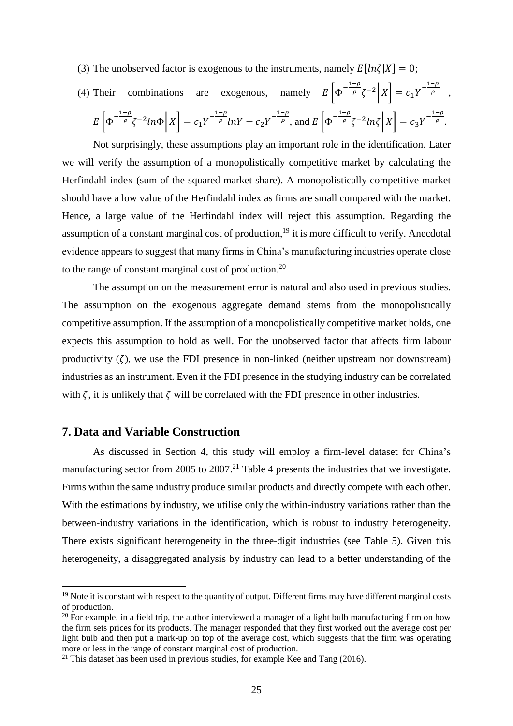- (3) The unobserved factor is exogenous to the instruments, namely  $E[ln\zeta|X] = 0$ ;
- (4) Their combinations are exogenous, namely  $E\left[\Phi^{-\frac{1-\rho}{\rho}}\right]$  $\frac{-\rho}{\rho} \zeta^{-2} |X| = c_1 Y^{-\frac{1-\rho}{\rho}},$  $E\left[\Phi^{-\frac{1-\rho}{\rho}}\right]$  $\int_{\rho}^{\frac{-\rho}{\rho}} \zeta^{-2} ln \Phi \Big| X \Big| = c_1 Y^{-\frac{1-\rho}{\rho}}$  $\frac{-\rho}{\rho}lnY - c_2Y^{-\frac{1-\rho}{\rho}}$ , and  $E\left[\Phi^{-\frac{1-\rho}{\rho}}\right]$  $\int_{\rho}^{\frac{-\rho}{\rho}} \zeta^{-2} ln \zeta \, \bigg| \, X \bigg] = c_3 Y^{-\frac{1-\rho}{\rho}}.$

Not surprisingly, these assumptions play an important role in the identification. Later we will verify the assumption of a monopolistically competitive market by calculating the Herfindahl index (sum of the squared market share). A monopolistically competitive market should have a low value of the Herfindahl index as firms are small compared with the market. Hence, a large value of the Herfindahl index will reject this assumption. Regarding the assumption of a constant marginal cost of production,<sup>19</sup> it is more difficult to verify. Anecdotal evidence appears to suggest that many firms in China's manufacturing industries operate close to the range of constant marginal cost of production. $20$ 

The assumption on the measurement error is natural and also used in previous studies. The assumption on the exogenous aggregate demand stems from the monopolistically competitive assumption. If the assumption of a monopolistically competitive market holds, one expects this assumption to hold as well. For the unobserved factor that affects firm labour productivity  $(\zeta)$ , we use the FDI presence in non-linked (neither upstream nor downstream) industries as an instrument. Even if the FDI presence in the studying industry can be correlated with  $\zeta$ , it is unlikely that  $\zeta$  will be correlated with the FDI presence in other industries.

# **7. Data and Variable Construction**

<u>.</u>

As discussed in Section 4, this study will employ a firm-level dataset for China's manufacturing sector from 2005 to 2007.<sup>21</sup> Table 4 presents the industries that we investigate. Firms within the same industry produce similar products and directly compete with each other. With the estimations by industry, we utilise only the within-industry variations rather than the between-industry variations in the identification, which is robust to industry heterogeneity. There exists significant heterogeneity in the three-digit industries (see Table 5). Given this heterogeneity, a disaggregated analysis by industry can lead to a better understanding of the

<sup>&</sup>lt;sup>19</sup> Note it is constant with respect to the quantity of output. Different firms may have different marginal costs of production.

<sup>&</sup>lt;sup>20</sup> For example, in a field trip, the author interviewed a manager of a light bulb manufacturing firm on how the firm sets prices for its products. The manager responded that they first worked out the average cost per light bulb and then put a mark-up on top of the average cost, which suggests that the firm was operating more or less in the range of constant marginal cost of production.

 $21$  This dataset has been used in previous studies, for example Kee and Tang (2016).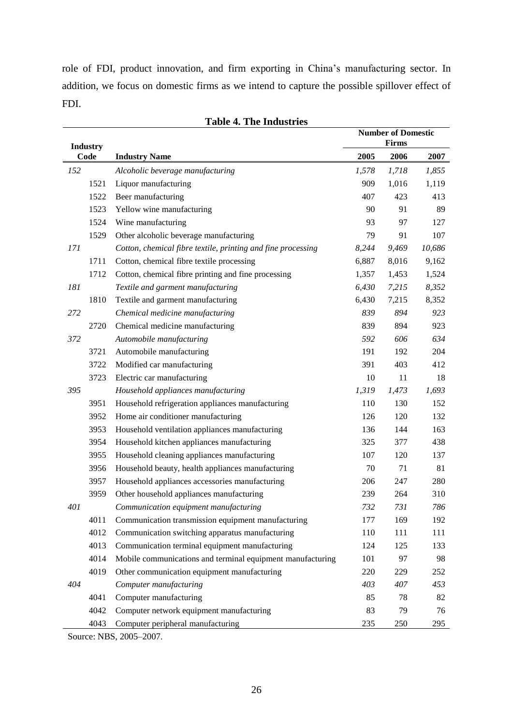role of FDI, product innovation, and firm exporting in China's manufacturing sector. In addition, we focus on domestic firms as we intend to capture the possible spillover effect of FDI.

|     | <b>Industry</b> |                                                              |       | <b>Number of Domestic</b><br>Firms |        |
|-----|-----------------|--------------------------------------------------------------|-------|------------------------------------|--------|
|     | Code            | <b>Industry Name</b>                                         | 2005  | 2006                               | 2007   |
| 152 |                 | Alcoholic beverage manufacturing                             | 1,578 | 1,718                              | 1,855  |
|     | 1521            | Liquor manufacturing                                         | 909   | 1,016                              | 1,119  |
|     | 1522            | Beer manufacturing                                           | 407   | 423                                | 413    |
|     | 1523            | Yellow wine manufacturing                                    | 90    | 91                                 | 89     |
|     | 1524            | Wine manufacturing                                           | 93    | 97                                 | 127    |
|     | 1529            | Other alcoholic beverage manufacturing                       | 79    | 91                                 | 107    |
| 171 |                 | Cotton, chemical fibre textile, printing and fine processing | 8,244 | 9,469                              | 10,686 |
|     | 1711            | Cotton, chemical fibre textile processing                    | 6,887 | 8,016                              | 9,162  |
|     | 1712            | Cotton, chemical fibre printing and fine processing          | 1,357 | 1,453                              | 1,524  |
| 181 |                 | Textile and garment manufacturing                            | 6,430 | 7,215                              | 8,352  |
|     | 1810            | Textile and garment manufacturing                            | 6,430 | 7,215                              | 8,352  |
| 272 |                 | Chemical medicine manufacturing                              | 839   | 894                                | 923    |
|     | 2720            | Chemical medicine manufacturing                              | 839   | 894                                | 923    |
| 372 |                 | Automobile manufacturing                                     | 592   | 606                                | 634    |
|     | 3721            | Automobile manufacturing                                     | 191   | 192                                | 204    |
|     | 3722            | Modified car manufacturing                                   | 391   | 403                                | 412    |
|     | 3723            | Electric car manufacturing                                   | 10    | 11                                 | 18     |
| 395 |                 | Household appliances manufacturing                           | 1,319 | 1,473                              | 1,693  |
|     | 3951            | Household refrigeration appliances manufacturing             | 110   | 130                                | 152    |
|     | 3952            | Home air conditioner manufacturing                           | 126   | 120                                | 132    |
|     | 3953            | Household ventilation appliances manufacturing               | 136   | 144                                | 163    |
|     | 3954            | Household kitchen appliances manufacturing                   | 325   | 377                                | 438    |
|     | 3955            | Household cleaning appliances manufacturing                  | 107   | 120                                | 137    |
|     | 3956            | Household beauty, health appliances manufacturing            | 70    | 71                                 | 81     |
|     | 3957            | Household appliances accessories manufacturing               | 206   | 247                                | 280    |
|     | 3959            | Other household appliances manufacturing                     | 239   | 264                                | 310    |
| 401 |                 | Communication equipment manufacturing                        | 732   | 731                                | 786    |
|     | 4011            | Communication transmission equipment manufacturing           | 177   | 169                                | 192    |
|     | 4012            | Communication switching apparatus manufacturing              | 110   | 111                                | 111    |
|     | 4013            | Communication terminal equipment manufacturing               | 124   | 125                                | 133    |
|     | 4014            | Mobile communications and terminal equipment manufacturing   | 101   | 97                                 | 98     |
|     | 4019            | Other communication equipment manufacturing                  | 220   | 229                                | 252    |
| 404 |                 | Computer manufacturing                                       | 403   | 407                                | 453    |
|     | 4041            | Computer manufacturing                                       | 85    | 78                                 | 82     |
|     | 4042            | Computer network equipment manufacturing                     | 83    | 79                                 | 76     |
|     | 4043            | Computer peripheral manufacturing                            | 235   | 250                                | 295    |

|  |  | <b>Table 4. The Industries</b> |
|--|--|--------------------------------|
|--|--|--------------------------------|

Source: NBS, 2005–2007.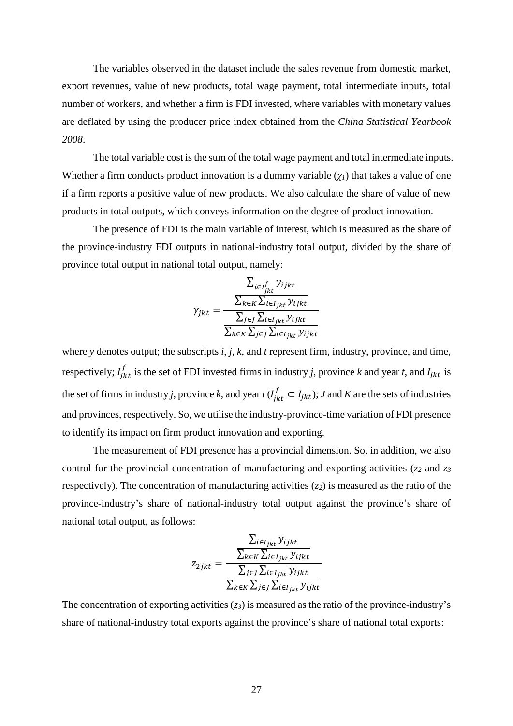The variables observed in the dataset include the sales revenue from domestic market, export revenues, value of new products, total wage payment, total intermediate inputs, total number of workers, and whether a firm is FDI invested, where variables with monetary values are deflated by using the producer price index obtained from the *China Statistical Yearbook 2008*.

The total variable cost is the sum of the total wage payment and total intermediate inputs. Whether a firm conducts product innovation is a dummy variable  $(\gamma_l)$  that takes a value of one if a firm reports a positive value of new products. We also calculate the share of value of new products in total outputs, which conveys information on the degree of product innovation.

The presence of FDI is the main variable of interest, which is measured as the share of the province-industry FDI outputs in national-industry total output, divided by the share of province total output in national total output, namely:

$$
\gamma_{jkt} = \frac{\sum_{i \in I_{jkt}^{f}} y_{ijkt}}{\frac{\sum_{k \in K} \sum_{i \in I_{jkt}} y_{ijkt}}{\sum_{j \in J} \sum_{i \in I_{jkt}} y_{ijkt}}}
$$
\n
$$
\frac{\sum_{k \in K} \sum_{j \in J} \sum_{i \in I_{jkt}} y_{ijkt}}{\sum_{k \in K} \sum_{j \in J} \sum_{i \in I_{jkt}} y_{ijkt}}
$$

where *y* denotes output; the subscripts *i*, *j*, *k*, and *t* represent firm, industry, province, and time, respectively;  $I_{jkt}^J$  $\int_{ikt}^{f}$  is the set of FDI invested firms in industry *j*, province *k* and year *t*, and  $I_{jkt}$  is the set of firms in industry *j*, province *k*, and year  $t(I_{jkt}^f \subset I_{jkt})$ ; *J* and *K* are the sets of industries and provinces, respectively. So, we utilise the industry-province-time variation of FDI presence to identify its impact on firm product innovation and exporting.

The measurement of FDI presence has a provincial dimension. So, in addition, we also control for the provincial concentration of manufacturing and exporting activities (*z<sup>2</sup>* and *z<sup>3</sup>* respectively). The concentration of manufacturing activities (*z2*) is measured as the ratio of the province-industry's share of national-industry total output against the province's share of national total output, as follows:

$$
z_{2jkt} = \frac{\frac{\sum_{i \in I_{jkt}} y_{ijkt}}{\sum_{k \in K} \sum_{i \in I_{jkt}} y_{ijkt}}}{\frac{\sum_{j \in J} \sum_{i \in I_{jkt}} y_{ijkt}}{\sum_{k \in K} \sum_{j \in J} \sum_{i \in I_{jkt}} y_{ijkt}}}
$$

The concentration of exporting activities (*z3*) is measured as the ratio of the province-industry's share of national-industry total exports against the province's share of national total exports: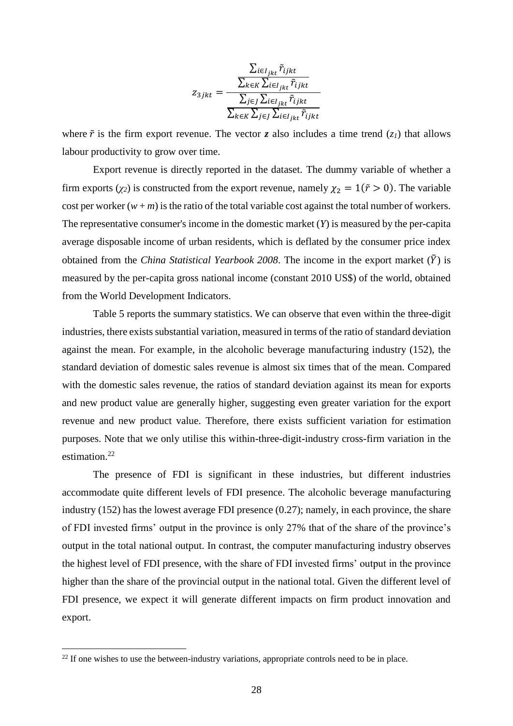$$
z_{3jkt} = \frac{\frac{\sum_{i \in I_{jkt}} \tilde{r}_{ijkt}}{\sum_{k \in K} \sum_{i \in I_{jkt}} \tilde{r}_{ijkt}}}{\frac{\sum_{j \in J} \sum_{i \in I_{jkt}} \tilde{r}_{ijkt}}{\sum_{k \in K} \sum_{j \in J} \sum_{i \in I_{jkt}} \tilde{r}_{ijkt}}}
$$

where  $\tilde{r}$  is the firm export revenue. The vector *z* also includes a time trend (*z*<sub>*l*</sub>) that allows labour productivity to grow over time.

Export revenue is directly reported in the dataset. The dummy variable of whether a firm exports ( $\chi$ <sup>2</sup>) is constructed from the export revenue, namely  $\chi$ <sup>2</sup> = 1( $\tilde{r}$  > 0). The variable cost per worker  $(w + m)$  is the ratio of the total variable cost against the total number of workers. The representative consumer's income in the domestic market (*Y*) is measured by the per-capita average disposable income of urban residents, which is deflated by the consumer price index obtained from the *China Statistical Yearbook 2008*. The income in the export market  $(\tilde{Y})$  is measured by the per-capita gross national income (constant 2010 US\$) of the world, obtained from the World Development Indicators.

Table 5 reports the summary statistics. We can observe that even within the three-digit industries, there exists substantial variation, measured in terms of the ratio of standard deviation against the mean. For example, in the alcoholic beverage manufacturing industry (152), the standard deviation of domestic sales revenue is almost six times that of the mean. Compared with the domestic sales revenue, the ratios of standard deviation against its mean for exports and new product value are generally higher, suggesting even greater variation for the export revenue and new product value. Therefore, there exists sufficient variation for estimation purposes. Note that we only utilise this within-three-digit-industry cross-firm variation in the estimation. 22

The presence of FDI is significant in these industries, but different industries accommodate quite different levels of FDI presence. The alcoholic beverage manufacturing industry (152) has the lowest average FDI presence (0.27); namely, in each province, the share of FDI invested firms' output in the province is only 27% that of the share of the province's output in the total national output. In contrast, the computer manufacturing industry observes the highest level of FDI presence, with the share of FDI invested firms' output in the province higher than the share of the provincial output in the national total. Given the different level of FDI presence, we expect it will generate different impacts on firm product innovation and export.

<u>.</u>

 $22$  If one wishes to use the between-industry variations, appropriate controls need to be in place.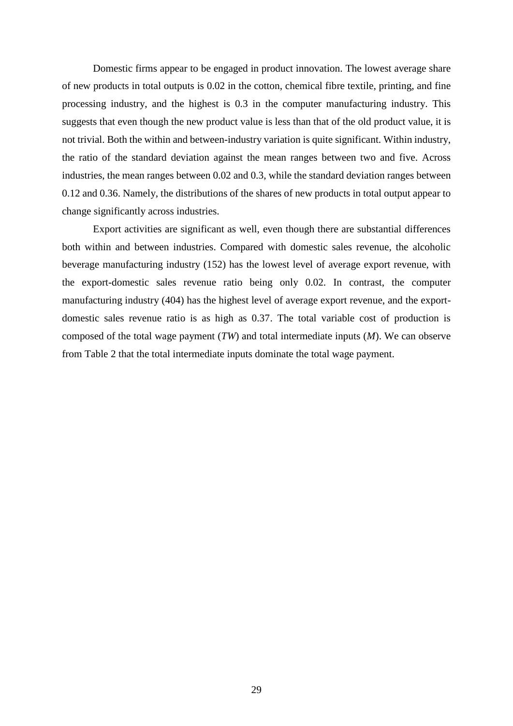Domestic firms appear to be engaged in product innovation. The lowest average share of new products in total outputs is 0.02 in the cotton, chemical fibre textile, printing, and fine processing industry, and the highest is 0.3 in the computer manufacturing industry. This suggests that even though the new product value is less than that of the old product value, it is not trivial. Both the within and between-industry variation is quite significant. Within industry, the ratio of the standard deviation against the mean ranges between two and five. Across industries, the mean ranges between 0.02 and 0.3, while the standard deviation ranges between 0.12 and 0.36. Namely, the distributions of the shares of new products in total output appear to change significantly across industries.

Export activities are significant as well, even though there are substantial differences both within and between industries. Compared with domestic sales revenue, the alcoholic beverage manufacturing industry (152) has the lowest level of average export revenue, with the export-domestic sales revenue ratio being only 0.02. In contrast, the computer manufacturing industry (404) has the highest level of average export revenue, and the exportdomestic sales revenue ratio is as high as 0.37. The total variable cost of production is composed of the total wage payment (*TW*) and total intermediate inputs (*M*). We can observe from Table 2 that the total intermediate inputs dominate the total wage payment.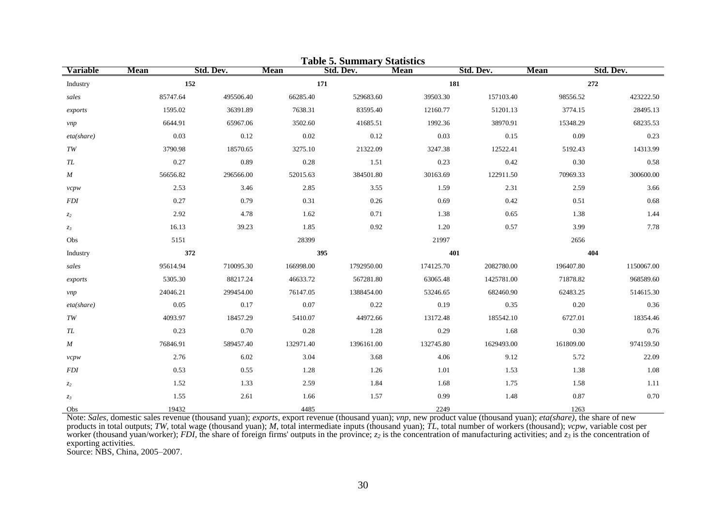| <b>Table 5. Summary Statistics</b> |             |           |             |            |             |            |             |            |  |
|------------------------------------|-------------|-----------|-------------|------------|-------------|------------|-------------|------------|--|
| <b>Variable</b>                    | <b>Mean</b> | Std. Dev. | <b>Mean</b> | Std. Dev.  | <b>Mean</b> | Std. Dev.  | <b>Mean</b> | Std. Dev.  |  |
| Industry                           | 152         |           |             | 171        |             | 181        |             | 272        |  |
| sales                              | 85747.64    | 495506.40 | 66285.40    | 529683.60  | 39503.30    | 157103.40  | 98556.52    | 423222.50  |  |
| exports                            | 1595.02     | 36391.89  | 7638.31     | 83595.40   | 12160.77    | 51201.13   | 3774.15     | 28495.13   |  |
| vnp                                | 6644.91     | 65967.06  | 3502.60     | 41685.51   | 1992.36     | 38970.91   | 15348.29    | 68235.53   |  |
| eta(share)                         | 0.03        | 0.12      | 0.02        | 0.12       | 0.03        | 0.15       | 0.09        | 0.23       |  |
| TW                                 | 3790.98     | 18570.65  | 3275.10     | 21322.09   | 3247.38     | 12522.41   | 5192.43     | 14313.99   |  |
| TL                                 | 0.27        | 0.89      | 0.28        | 1.51       | 0.23        | 0.42       | 0.30        | 0.58       |  |
| M                                  | 56656.82    | 296566.00 | 52015.63    | 384501.80  | 30163.69    | 122911.50  | 70969.33    | 300600.00  |  |
| vcpw                               | 2.53        | 3.46      | 2.85        | 3.55       | 1.59        | 2.31       | 2.59        | 3.66       |  |
| <b>FDI</b>                         | 0.27        | 0.79      | 0.31        | 0.26       | 0.69        | 0.42       | 0.51        | 0.68       |  |
| z <sub>2</sub>                     | 2.92        | 4.78      | 1.62        | 0.71       | 1.38        | 0.65       | 1.38        | 1.44       |  |
| $z_3$                              | 16.13       | 39.23     | 1.85        | 0.92       | 1.20        | 0.57       | 3.99        | 7.78       |  |
| Obs                                | 5151        |           | 28399       |            | 21997       |            | 2656        |            |  |
| Industry                           | 372         |           |             | 395        |             | 401        |             | 404        |  |
| sales                              | 95614.94    | 710095.30 | 166998.00   | 1792950.00 | 174125.70   | 2082780.00 | 196407.80   | 1150067.00 |  |
| exports                            | 5305.30     | 88217.24  | 46633.72    | 567281.80  | 63065.48    | 1425781.00 | 71878.82    | 968589.60  |  |
| <i>vnp</i>                         | 24046.21    | 299454.00 | 76147.05    | 1388454.00 | 53246.65    | 682460.90  | 62483.25    | 514615.30  |  |
| eta(share)                         | 0.05        | 0.17      | 0.07        | 0.22       | 0.19        | 0.35       | 0.20        | 0.36       |  |
| TW                                 | 4093.97     | 18457.29  | 5410.07     | 44972.66   | 13172.48    | 185542.10  | 6727.01     | 18354.46   |  |
| TL                                 | 0.23        | 0.70      | 0.28        | 1.28       | 0.29        | 1.68       | 0.30        | 0.76       |  |
| M                                  | 76846.91    | 589457.40 | 132971.40   | 1396161.00 | 132745.80   | 1629493.00 | 161809.00   | 974159.50  |  |
| vcpw                               | 2.76        | 6.02      | 3.04        | 3.68       | 4.06        | 9.12       | 5.72        | 22.09      |  |
| <b>FDI</b>                         | 0.53        | 0.55      | 1.28        | 1.26       | 1.01        | 1.53       | 1.38        | 1.08       |  |
| z <sub>2</sub>                     | 1.52        | 1.33      | 2.59        | 1.84       | 1.68        | 1.75       | 1.58        | 1.11       |  |
| $z_3$                              | 1.55        | 2.61      | 1.66        | 1.57       | 0.99        | 1.48       | 0.87        | 0.70       |  |
| Obs                                | 19432       |           | 4485        |            | 2249        |            | 1263        |            |  |

Note: *Sales*, domestic sales revenue (thousand yuan); *exports*, export revenue (thousand yuan); *vnp*, new product value (thousand yuan); *eta(share)*, the share of new products in total outputs; *TW*, total wage (thousand yuan); *M*, total intermediate inputs (thousand yuan); *TL*, total number of workers (thousand); *vcpw*, variable cost per worker (thousand yuan/worker); *FDI*, the share of foreign firms' outputs in the province; *z<sup>2</sup>* is the concentration of manufacturing activities; and *z<sup>3</sup>* is the concentration of exporting activities.

Source: NBS, China, 2005–2007.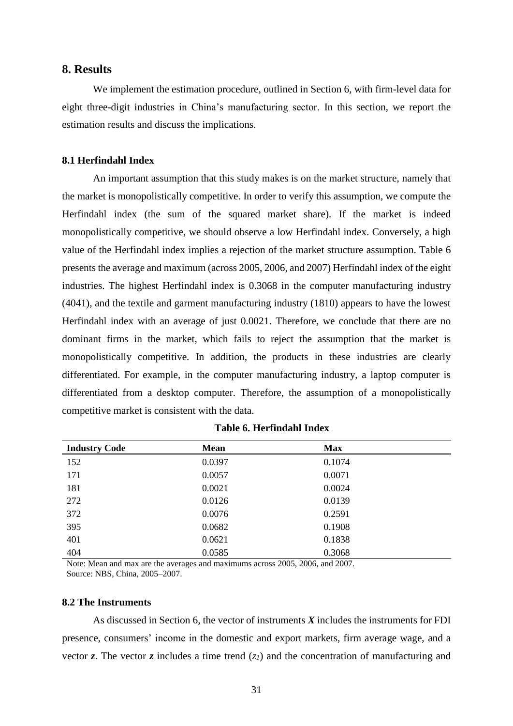### **8. Results**

We implement the estimation procedure, outlined in Section 6, with firm-level data for eight three-digit industries in China's manufacturing sector. In this section, we report the estimation results and discuss the implications.

### **8.1 Herfindahl Index**

An important assumption that this study makes is on the market structure, namely that the market is monopolistically competitive. In order to verify this assumption, we compute the Herfindahl index (the sum of the squared market share). If the market is indeed monopolistically competitive, we should observe a low Herfindahl index. Conversely, a high value of the Herfindahl index implies a rejection of the market structure assumption. Table 6 presents the average and maximum (across 2005, 2006, and 2007) Herfindahl index of the eight industries. The highest Herfindahl index is 0.3068 in the computer manufacturing industry (4041), and the textile and garment manufacturing industry (1810) appears to have the lowest Herfindahl index with an average of just 0.0021. Therefore, we conclude that there are no dominant firms in the market, which fails to reject the assumption that the market is monopolistically competitive. In addition, the products in these industries are clearly differentiated. For example, in the computer manufacturing industry, a laptop computer is differentiated from a desktop computer. Therefore, the assumption of a monopolistically competitive market is consistent with the data.

| <b>Industry Code</b> | <b>Mean</b> | <b>Max</b> |
|----------------------|-------------|------------|
| 152                  | 0.0397      | 0.1074     |
| 171                  | 0.0057      | 0.0071     |
| 181                  | 0.0021      | 0.0024     |
| 272                  | 0.0126      | 0.0139     |
| 372                  | 0.0076      | 0.2591     |
| 395                  | 0.0682      | 0.1908     |
| 401                  | 0.0621      | 0.1838     |
| 404                  | 0.0585      | 0.3068     |

#### **Table 6. Herfindahl Index**

Note: Mean and max are the averages and maximums across 2005, 2006, and 2007. Source: NBS, China, 2005–2007.

### **8.2 The Instruments**

As discussed in Section 6, the vector of instruments *X* includes the instruments for FDI presence, consumers' income in the domestic and export markets, firm average wage, and a vector *z*. The vector *z* includes a time trend  $(z<sub>1</sub>)$  and the concentration of manufacturing and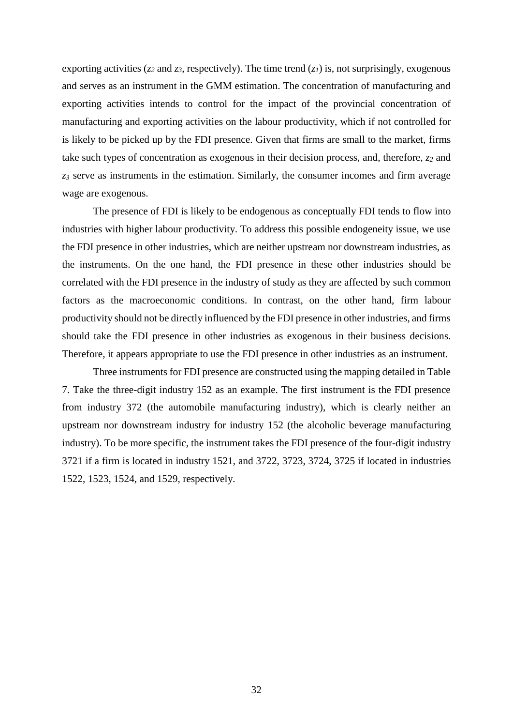exporting activities ( $z_2$  and  $z_3$ , respectively). The time trend ( $z_1$ ) is, not surprisingly, exogenous and serves as an instrument in the GMM estimation. The concentration of manufacturing and exporting activities intends to control for the impact of the provincial concentration of manufacturing and exporting activities on the labour productivity, which if not controlled for is likely to be picked up by the FDI presence. Given that firms are small to the market, firms take such types of concentration as exogenous in their decision process, and, therefore, *z<sup>2</sup>* and *z<sup>3</sup>* serve as instruments in the estimation. Similarly, the consumer incomes and firm average wage are exogenous.

The presence of FDI is likely to be endogenous as conceptually FDI tends to flow into industries with higher labour productivity. To address this possible endogeneity issue, we use the FDI presence in other industries, which are neither upstream nor downstream industries, as the instruments. On the one hand, the FDI presence in these other industries should be correlated with the FDI presence in the industry of study as they are affected by such common factors as the macroeconomic conditions. In contrast, on the other hand, firm labour productivity should not be directly influenced by the FDI presence in other industries, and firms should take the FDI presence in other industries as exogenous in their business decisions. Therefore, it appears appropriate to use the FDI presence in other industries as an instrument.

Three instruments for FDI presence are constructed using the mapping detailed in Table 7. Take the three-digit industry 152 as an example. The first instrument is the FDI presence from industry 372 (the automobile manufacturing industry), which is clearly neither an upstream nor downstream industry for industry 152 (the alcoholic beverage manufacturing industry). To be more specific, the instrument takes the FDI presence of the four-digit industry 3721 if a firm is located in industry 1521, and 3722, 3723, 3724, 3725 if located in industries 1522, 1523, 1524, and 1529, respectively.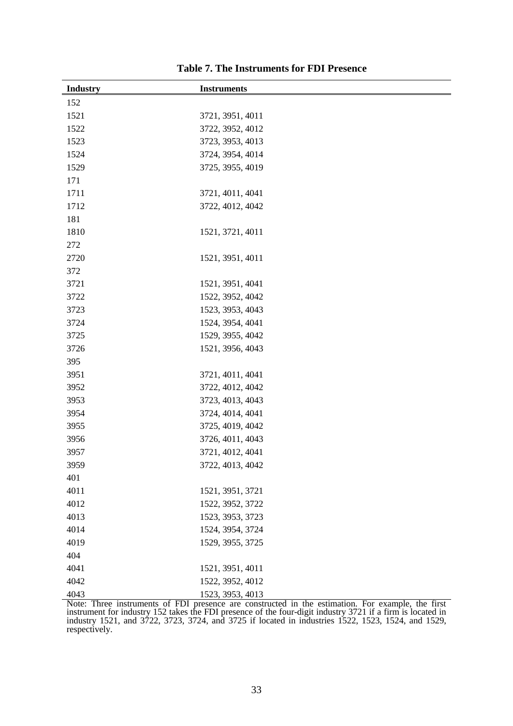| <b>Industry</b> | <b>Instruments</b> |
|-----------------|--------------------|
| 152             |                    |
| 1521            | 3721, 3951, 4011   |
| 1522            | 3722, 3952, 4012   |
| 1523            | 3723, 3953, 4013   |
| 1524            | 3724, 3954, 4014   |
| 1529            | 3725, 3955, 4019   |
| 171             |                    |
| 1711            | 3721, 4011, 4041   |
| 1712            | 3722, 4012, 4042   |
| 181             |                    |
| 1810            | 1521, 3721, 4011   |
| 272             |                    |
| 2720            | 1521, 3951, 4011   |
| 372             |                    |
| 3721            | 1521, 3951, 4041   |
| 3722            | 1522, 3952, 4042   |
| 3723            | 1523, 3953, 4043   |
| 3724            | 1524, 3954, 4041   |
| 3725            | 1529, 3955, 4042   |
| 3726            | 1521, 3956, 4043   |
| 395             |                    |
| 3951            | 3721, 4011, 4041   |
| 3952            | 3722, 4012, 4042   |
| 3953            | 3723, 4013, 4043   |
| 3954            | 3724, 4014, 4041   |
| 3955            | 3725, 4019, 4042   |
| 3956            | 3726, 4011, 4043   |
| 3957            | 3721, 4012, 4041   |
| 3959            | 3722, 4013, 4042   |
| 401             |                    |
| 4011            | 1521, 3951, 3721   |
| 4012            | 1522, 3952, 3722   |
| 4013            | 1523, 3953, 3723   |
| 4014            | 1524, 3954, 3724   |
| 4019            | 1529, 3955, 3725   |
| 404             |                    |
| 4041            | 1521, 3951, 4011   |
| 4042            | 1522, 3952, 4012   |
| 4043            | 1523, 3953, 4013   |

Note: Three instruments of FDI presence are constructed in the estimation. For example, the first instrument for industry 152 takes the FDI presence of the four-digit industry 3721 if a firm is located in industry 1521, and 3722, 3723, 3724, and 3725 if located in industries 1522, 1523, 1524, and 1529, respectively.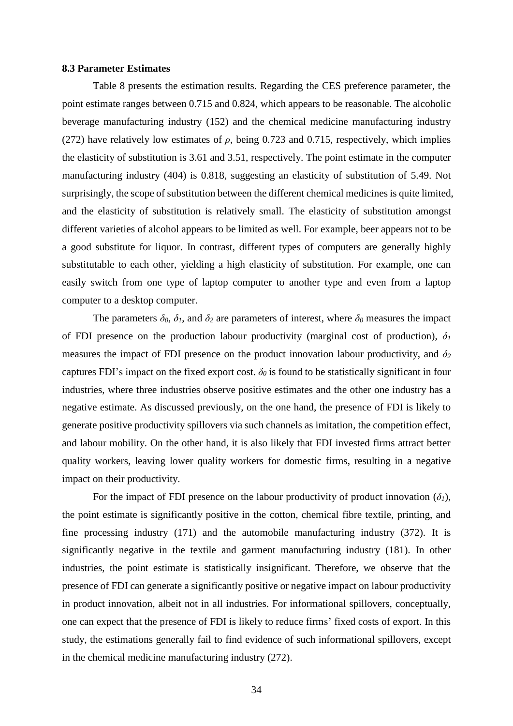#### **8.3 Parameter Estimates**

Table 8 presents the estimation results. Regarding the CES preference parameter, the point estimate ranges between 0.715 and 0.824, which appears to be reasonable. The alcoholic beverage manufacturing industry (152) and the chemical medicine manufacturing industry (272) have relatively low estimates of  $\rho$ , being 0.723 and 0.715, respectively, which implies the elasticity of substitution is 3.61 and 3.51, respectively. The point estimate in the computer manufacturing industry (404) is 0.818, suggesting an elasticity of substitution of 5.49. Not surprisingly, the scope of substitution between the different chemical medicines is quite limited, and the elasticity of substitution is relatively small. The elasticity of substitution amongst different varieties of alcohol appears to be limited as well. For example, beer appears not to be a good substitute for liquor. In contrast, different types of computers are generally highly substitutable to each other, yielding a high elasticity of substitution. For example, one can easily switch from one type of laptop computer to another type and even from a laptop computer to a desktop computer.

The parameters  $\delta_0$ ,  $\delta_1$ , and  $\delta_2$  are parameters of interest, where  $\delta_0$  measures the impact of FDI presence on the production labour productivity (marginal cost of production),  $\delta_l$ measures the impact of FDI presence on the product innovation labour productivity, and *δ<sup>2</sup>* captures FDI's impact on the fixed export cost.  $\delta_0$  is found to be statistically significant in four industries, where three industries observe positive estimates and the other one industry has a negative estimate. As discussed previously, on the one hand, the presence of FDI is likely to generate positive productivity spillovers via such channels as imitation, the competition effect, and labour mobility. On the other hand, it is also likely that FDI invested firms attract better quality workers, leaving lower quality workers for domestic firms, resulting in a negative impact on their productivity.

For the impact of FDI presence on the labour productivity of product innovation  $(\delta_l)$ , the point estimate is significantly positive in the cotton, chemical fibre textile, printing, and fine processing industry (171) and the automobile manufacturing industry (372). It is significantly negative in the textile and garment manufacturing industry (181). In other industries, the point estimate is statistically insignificant. Therefore, we observe that the presence of FDI can generate a significantly positive or negative impact on labour productivity in product innovation, albeit not in all industries. For informational spillovers, conceptually, one can expect that the presence of FDI is likely to reduce firms' fixed costs of export. In this study, the estimations generally fail to find evidence of such informational spillovers, except in the chemical medicine manufacturing industry (272).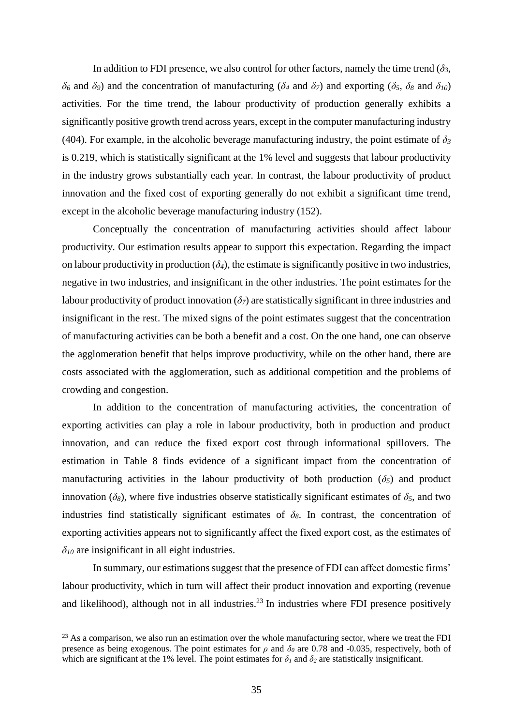In addition to FDI presence, we also control for other factors, namely the time trend  $(\delta_3,$ *δ<sup>6</sup>* and *δ9*) and the concentration of manufacturing (*δ<sup>4</sup>* and *δ7*) and exporting (*δ5*, *δ<sup>8</sup>* and *δ10*) activities. For the time trend, the labour productivity of production generally exhibits a significantly positive growth trend across years, except in the computer manufacturing industry (404). For example, in the alcoholic beverage manufacturing industry, the point estimate of  $\delta_3$ is 0.219, which is statistically significant at the 1% level and suggests that labour productivity in the industry grows substantially each year. In contrast, the labour productivity of product innovation and the fixed cost of exporting generally do not exhibit a significant time trend, except in the alcoholic beverage manufacturing industry (152).

Conceptually the concentration of manufacturing activities should affect labour productivity. Our estimation results appear to support this expectation. Regarding the impact on labour productivity in production  $(\delta_4)$ , the estimate is significantly positive in two industries, negative in two industries, and insignificant in the other industries. The point estimates for the labour productivity of product innovation  $(\delta_7)$  are statistically significant in three industries and insignificant in the rest. The mixed signs of the point estimates suggest that the concentration of manufacturing activities can be both a benefit and a cost. On the one hand, one can observe the agglomeration benefit that helps improve productivity, while on the other hand, there are costs associated with the agglomeration, such as additional competition and the problems of crowding and congestion.

In addition to the concentration of manufacturing activities, the concentration of exporting activities can play a role in labour productivity, both in production and product innovation, and can reduce the fixed export cost through informational spillovers. The estimation in Table 8 finds evidence of a significant impact from the concentration of manufacturing activities in the labour productivity of both production  $(\delta_5)$  and product innovation ( $\delta$ <sup>8</sup>), where five industries observe statistically significant estimates of  $\delta$ <sup>5</sup>, and two industries find statistically significant estimates of  $\delta_8$ . In contrast, the concentration of exporting activities appears not to significantly affect the fixed export cost, as the estimates of  $\delta_{10}$  are insignificant in all eight industries.

In summary, our estimations suggest that the presence of FDI can affect domestic firms' labour productivity, which in turn will affect their product innovation and exporting (revenue and likelihood), although not in all industries.<sup>23</sup> In industries where FDI presence positively

1

 $^{23}$  As a comparison, we also run an estimation over the whole manufacturing sector, where we treat the FDI presence as being exogenous. The point estimates for  $\rho$  and  $\delta_\theta$  are 0.78 and -0.035, respectively, both of which are significant at the 1% level. The point estimates for  $\delta$ *l* and  $\delta$ <sup>2</sup> are statistically insignificant.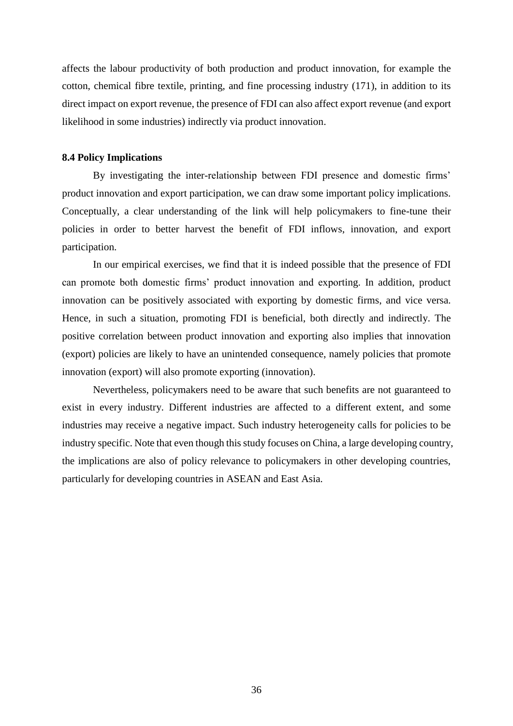affects the labour productivity of both production and product innovation, for example the cotton, chemical fibre textile, printing, and fine processing industry (171), in addition to its direct impact on export revenue, the presence of FDI can also affect export revenue (and export likelihood in some industries) indirectly via product innovation.

#### **8.4 Policy Implications**

By investigating the inter-relationship between FDI presence and domestic firms' product innovation and export participation, we can draw some important policy implications. Conceptually, a clear understanding of the link will help policymakers to fine-tune their policies in order to better harvest the benefit of FDI inflows, innovation, and export participation.

In our empirical exercises, we find that it is indeed possible that the presence of FDI can promote both domestic firms' product innovation and exporting. In addition, product innovation can be positively associated with exporting by domestic firms, and vice versa. Hence, in such a situation, promoting FDI is beneficial, both directly and indirectly. The positive correlation between product innovation and exporting also implies that innovation (export) policies are likely to have an unintended consequence, namely policies that promote innovation (export) will also promote exporting (innovation).

Nevertheless, policymakers need to be aware that such benefits are not guaranteed to exist in every industry. Different industries are affected to a different extent, and some industries may receive a negative impact. Such industry heterogeneity calls for policies to be industry specific. Note that even though this study focuses on China, a large developing country, the implications are also of policy relevance to policymakers in other developing countries, particularly for developing countries in ASEAN and East Asia.

36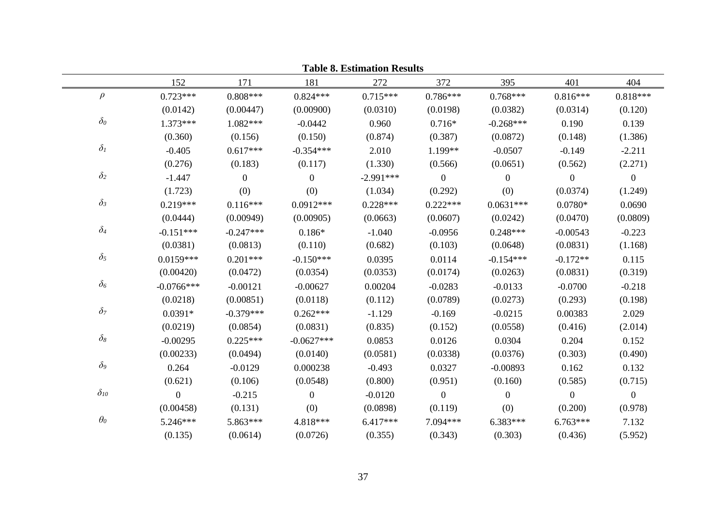| <b>Table 8. Estimation Results</b> |                  |                  |                |             |                  |              |                |                  |
|------------------------------------|------------------|------------------|----------------|-------------|------------------|--------------|----------------|------------------|
|                                    | 152              | 171              | 181            | 272         | 372              | 395          | 401            | 404              |
| $\rho$                             | $0.723***$       | $0.808***$       | $0.824***$     | $0.715***$  | $0.786***$       | $0.768***$   | $0.816***$     | $0.818***$       |
|                                    | (0.0142)         | (0.00447)        | (0.00900)      | (0.0310)    | (0.0198)         | (0.0382)     | (0.0314)       | (0.120)          |
| $\delta_{\rm 0}$                   | $1.373***$       | $1.082***$       | $-0.0442$      | 0.960       | $0.716*$         | $-0.268***$  | 0.190          | 0.139            |
|                                    | (0.360)          | (0.156)          | (0.150)        | (0.874)     | (0.387)          | (0.0872)     | (0.148)        | (1.386)          |
| $\delta_I$                         | $-0.405$         | $0.617***$       | $-0.354***$    | 2.010       | 1.199**          | $-0.0507$    | $-0.149$       | $-2.211$         |
|                                    | (0.276)          | (0.183)          | (0.117)        | (1.330)     | (0.566)          | (0.0651)     | (0.562)        | (2.271)          |
| $\delta_2$                         | $-1.447$         | $\boldsymbol{0}$ | $\mathbf{0}$   | $-2.991***$ | $\boldsymbol{0}$ | $\mathbf{0}$ | $\overline{0}$ | $\boldsymbol{0}$ |
|                                    | (1.723)          | (0)              | (0)            | (1.034)     | (0.292)          | (0)          | (0.0374)       | (1.249)          |
| $\delta_3$                         | $0.219***$       | $0.116***$       | $0.0912***$    | $0.228***$  | $0.222***$       | $0.0631***$  | $0.0780*$      | 0.0690           |
|                                    | (0.0444)         | (0.00949)        | (0.00905)      | (0.0663)    | (0.0607)         | (0.0242)     | (0.0470)       | (0.0809)         |
| $\delta_4$                         | $-0.151***$      | $-0.247***$      | $0.186*$       | $-1.040$    | $-0.0956$        | $0.248***$   | $-0.00543$     | $-0.223$         |
|                                    | (0.0381)         | (0.0813)         | (0.110)        | (0.682)     | (0.103)          | (0.0648)     | (0.0831)       | (1.168)          |
| $\delta_5$                         | $0.0159***$      | $0.201***$       | $-0.150***$    | 0.0395      | 0.0114           | $-0.154***$  | $-0.172**$     | 0.115            |
|                                    | (0.00420)        | (0.0472)         | (0.0354)       | (0.0353)    | (0.0174)         | (0.0263)     | (0.0831)       | (0.319)          |
| $\delta_6$                         | $-0.0766$ ***    | $-0.00121$       | $-0.00627$     | 0.00204     | $-0.0283$        | $-0.0133$    | $-0.0700$      | $-0.218$         |
|                                    | (0.0218)         | (0.00851)        | (0.0118)       | (0.112)     | (0.0789)         | (0.0273)     | (0.293)        | (0.198)          |
| $\delta$ 7                         | $0.0391*$        | $-0.379***$      | $0.262***$     | $-1.129$    | $-0.169$         | $-0.0215$    | 0.00383        | 2.029            |
|                                    | (0.0219)         | (0.0854)         | (0.0831)       | (0.835)     | (0.152)          | (0.0558)     | (0.416)        | (2.014)          |
| $\delta_8$                         | $-0.00295$       | $0.225***$       | $-0.0627***$   | 0.0853      | 0.0126           | 0.0304       | 0.204          | 0.152            |
|                                    | (0.00233)        | (0.0494)         | (0.0140)       | (0.0581)    | (0.0338)         | (0.0376)     | (0.303)        | (0.490)          |
| $\delta$ 9                         | 0.264            | $-0.0129$        | 0.000238       | $-0.493$    | 0.0327           | $-0.00893$   | 0.162          | 0.132            |
|                                    | (0.621)          | (0.106)          | (0.0548)       | (0.800)     | (0.951)          | (0.160)      | (0.585)        | (0.715)          |
| $\delta_{\it 10}$                  | $\boldsymbol{0}$ | $-0.215$         | $\overline{0}$ | $-0.0120$   | $\overline{0}$   | $\mathbf{0}$ | $\overline{0}$ | $\overline{0}$   |
|                                    | (0.00458)        | (0.131)          | (0)            | (0.0898)    | (0.119)          | (0)          | (0.200)        | (0.978)          |
| $\theta_0$                         | 5.246***         | 5.863***         | 4.818***       | $6.417***$  | 7.094***         | $6.383***$   | $6.763***$     | 7.132            |
|                                    | (0.135)          | (0.0614)         | (0.0726)       | (0.355)     | (0.343)          | (0.303)      | (0.436)        | (5.952)          |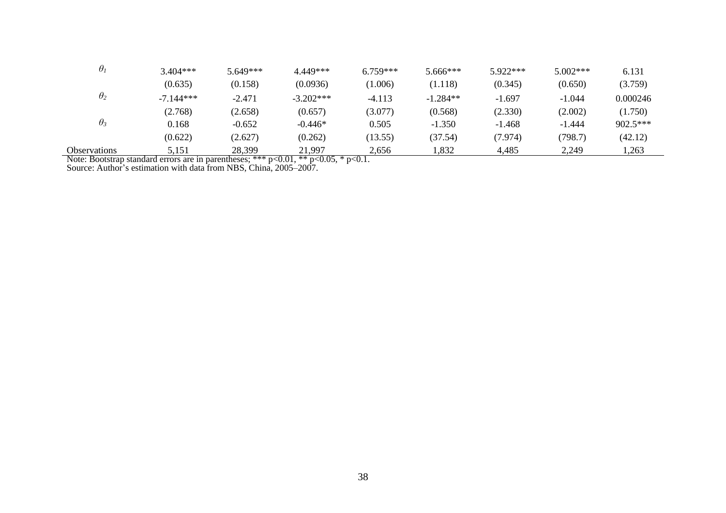| $\theta_{\it I}$    | $3.404***$  | 5.649*** | 4.449***    | $6.759***$ | 5.666***   | 5.922*** | $5.002***$ | 6.131    |
|---------------------|-------------|----------|-------------|------------|------------|----------|------------|----------|
|                     | (0.635)     | (0.158)  | (0.0936)    | (1.006)    | (1.118)    | (0.345)  | (0.650)    | (3.759)  |
| $\theta_2$          | $-7.144***$ | $-2.471$ | $-3.202***$ | $-4.113$   | $-1.284**$ | $-1.697$ | $-1.044$   | 0.000246 |
|                     | (2.768)     | (2.658)  | (0.657)     | (3.077)    | (0.568)    | (2.330)  | (2.002)    | (1.750)  |
| $\theta_3$          | 0.168       | $-0.652$ | $-0.446*$   | 0.505      | $-1.350$   | $-1.468$ | $-1.444$   | 902.5*** |
|                     | (0.622)     | (2.627)  | (0.262)     | (13.55)    | (37.54)    | (7.974)  | (798.7)    | (42.12)  |
| <b>Observations</b> | 5,151       | 28,399   | 21,997      | 2,656      | 1,832      | 4,485    | 2,249      | 1,263    |

Note: Bootstrap standard errors are in parentheses; \*\*\*  $p<0.01$ , \*\*  $p<0.05$ , \*  $p<0.1$ .

Source: Author's estimation with data from NBS, China, 2005–2007.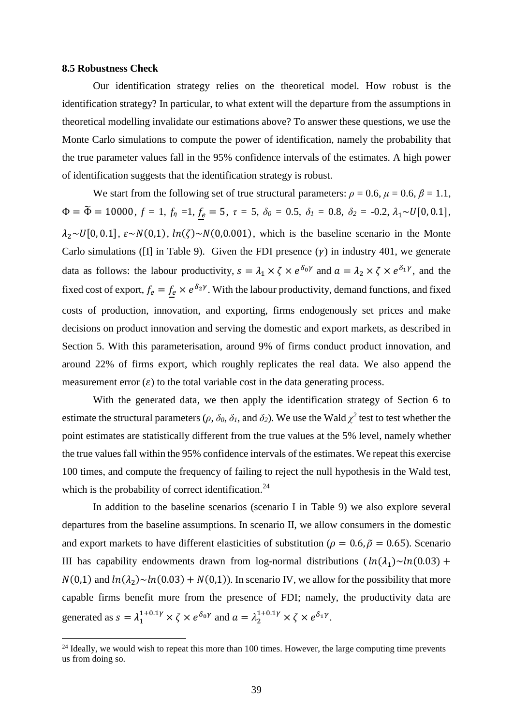#### **8.5 Robustness Check**

<u>.</u>

Our identification strategy relies on the theoretical model. How robust is the identification strategy? In particular, to what extent will the departure from the assumptions in theoretical modelling invalidate our estimations above? To answer these questions, we use the Monte Carlo simulations to compute the power of identification, namely the probability that the true parameter values fall in the 95% confidence intervals of the estimates. A high power of identification suggests that the identification strategy is robust.

We start from the following set of true structural parameters:  $\rho = 0.6$ ,  $\mu = 0.6$ ,  $\beta = 1.1$ ,  $\Phi = \tilde{\Phi} = 10000, f = 1, f_\eta = 1, \underline{f_e} = 5, \tau = 5, \delta_0 = 0.5, \delta_1 = 0.8, \delta_2 = -0.2, \lambda_1 \sim U[0, 0.1],$  $\lambda_2 \sim U[0, 0.1], \varepsilon \sim N(0,1), \ln(\zeta) \sim N(0,0.001)$ , which is the baseline scenario in the Monte Carlo simulations (II) in Table 9). Given the FDI presence  $(v)$  in industry 401, we generate data as follows: the labour productivity,  $s = \lambda_1 \times \zeta \times e^{\delta_0 \gamma}$  and  $a = \lambda_2 \times \zeta \times e^{\delta_1 \gamma}$ , and the fixed cost of export,  $f_e = f_e \times e^{\delta_2 \gamma}$ . With the labour productivity, demand functions, and fixed costs of production, innovation, and exporting, firms endogenously set prices and make decisions on product innovation and serving the domestic and export markets, as described in Section 5. With this parameterisation, around 9% of firms conduct product innovation, and around 22% of firms export, which roughly replicates the real data. We also append the measurement error  $(\varepsilon)$  to the total variable cost in the data generating process.

With the generated data, we then apply the identification strategy of Section 6 to estimate the structural parameters ( $\rho$ ,  $\delta_0$ ,  $\delta_1$ , and  $\delta_2$ ). We use the Wald  $\chi^2$  test to test whether the point estimates are statistically different from the true values at the 5% level, namely whether the true values fall within the 95% confidence intervals of the estimates. We repeat this exercise 100 times, and compute the frequency of failing to reject the null hypothesis in the Wald test, which is the probability of correct identification.<sup>24</sup>

In addition to the baseline scenarios (scenario I in Table 9) we also explore several departures from the baseline assumptions. In scenario II, we allow consumers in the domestic and export markets to have different elasticities of substitution ( $\rho = 0.6$ ,  $\tilde{\rho} = 0.65$ ). Scenario III has capability endowments drawn from log-normal distributions  $(ln(\lambda_1) \sim ln(0.03) +$  $N(0,1)$  and  $ln(\lambda_2) \sim ln(0.03) + N(0,1)$ . In scenario IV, we allow for the possibility that more capable firms benefit more from the presence of FDI; namely, the productivity data are generated as  $s = \lambda_1^{1+0.1\gamma} \times \zeta \times e^{\delta_0 \gamma}$  and  $a = \lambda_2^{1+0.1\gamma} \times \zeta \times e^{\delta_1 \gamma}$ .

 $^{24}$  Ideally, we would wish to repeat this more than 100 times. However, the large computing time prevents us from doing so.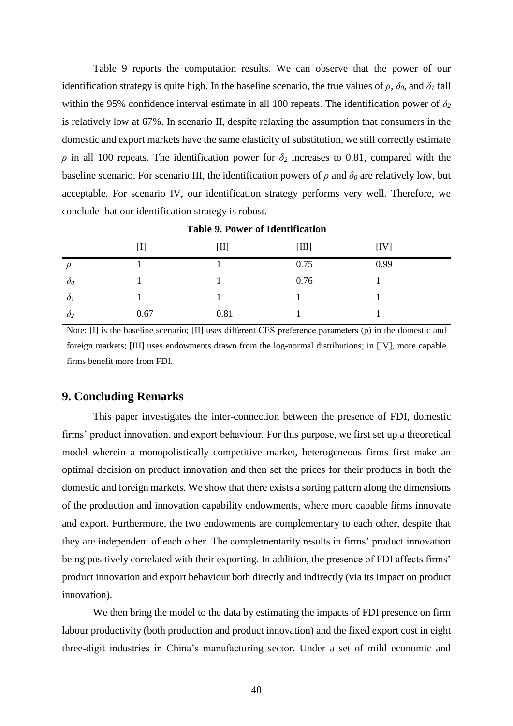Table 9 reports the computation results. We can observe that the power of our identification strategy is quite high. In the baseline scenario, the true values of  $\rho$ ,  $\delta_0$ , and  $\delta_1$  fall within the 95% confidence interval estimate in all 100 repeats. The identification power of  $\delta_2$ is relatively low at 67%. In scenario II, despite relaxing the assumption that consumers in the domestic and export markets have the same elasticity of substitution, we still correctly estimate  $\rho$  in all 100 repeats. The identification power for  $\delta_2$  increases to 0.81, compared with the baseline scenario. For scenario III, the identification powers of  $\rho$  and  $\delta_\theta$  are relatively low, but acceptable. For scenario IV, our identification strategy performs very well. Therefore, we conclude that our identification strategy is robust.

|              | $[{\rm I}]$ | $[\rm{II}]$ | $[III]$ | [IV] |
|--------------|-------------|-------------|---------|------|
| $\rho$       |             |             | 0.75    | 0.99 |
| $\delta_{0}$ |             |             | 0.76    |      |
| $\delta_l$   |             |             |         |      |
| $\delta_2$   | 0.67        | 0.81        |         |      |

**Table 9. Power of Identification**

Note: [I] is the baseline scenario; [II] uses different CES preference parameters (ρ) in the domestic and foreign markets; [III] uses endowments drawn from the log-normal distributions; in [IV], more capable firms benefit more from FDI.

### **9. Concluding Remarks**

This paper investigates the inter-connection between the presence of FDI, domestic firms' product innovation, and export behaviour. For this purpose, we first set up a theoretical model wherein a monopolistically competitive market, heterogeneous firms first make an optimal decision on product innovation and then set the prices for their products in both the domestic and foreign markets. We show that there exists a sorting pattern along the dimensions of the production and innovation capability endowments, where more capable firms innovate and export. Furthermore, the two endowments are complementary to each other, despite that they are independent of each other. The complementarity results in firms' product innovation being positively correlated with their exporting. In addition, the presence of FDI affects firms' product innovation and export behaviour both directly and indirectly (via its impact on product innovation).

We then bring the model to the data by estimating the impacts of FDI presence on firm labour productivity (both production and product innovation) and the fixed export cost in eight three-digit industries in China's manufacturing sector. Under a set of mild economic and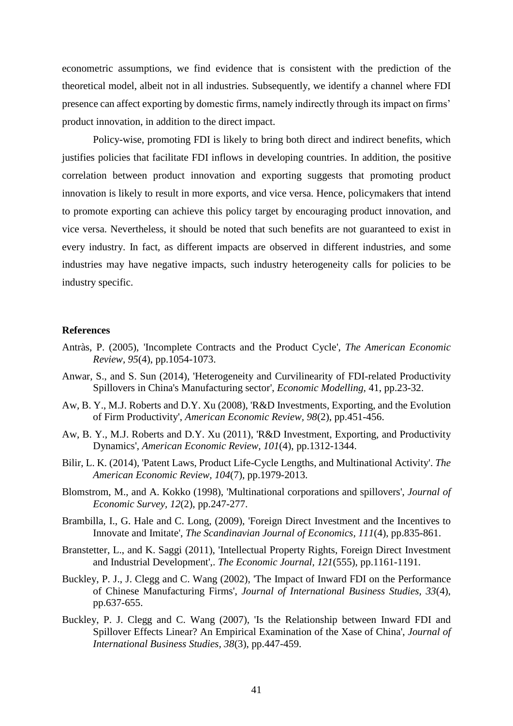econometric assumptions, we find evidence that is consistent with the prediction of the theoretical model, albeit not in all industries. Subsequently, we identify a channel where FDI presence can affect exporting by domestic firms, namely indirectly through its impact on firms' product innovation, in addition to the direct impact.

Policy-wise, promoting FDI is likely to bring both direct and indirect benefits, which justifies policies that facilitate FDI inflows in developing countries. In addition, the positive correlation between product innovation and exporting suggests that promoting product innovation is likely to result in more exports, and vice versa. Hence, policymakers that intend to promote exporting can achieve this policy target by encouraging product innovation, and vice versa. Nevertheless, it should be noted that such benefits are not guaranteed to exist in every industry. In fact, as different impacts are observed in different industries, and some industries may have negative impacts, such industry heterogeneity calls for policies to be industry specific.

#### **References**

- Antràs, P. (2005), 'Incomplete Contracts and the Product Cycle', *The American Economic Review, 95*(4), pp.1054-1073.
- Anwar, S., and S. Sun (2014), 'Heterogeneity and Curvilinearity of FDI-related Productivity Spillovers in China's Manufacturing sector', *Economic Modelling,* 41, pp.23-32.
- Aw, B. Y., M.J. Roberts and D.Y. Xu (2008), 'R&D Investments, Exporting, and the Evolution of Firm Productivity', *American Economic Review, 98*(2), pp.451-456.
- Aw, B. Y., M.J. Roberts and D.Y. Xu (2011), 'R&D Investment, Exporting, and Productivity Dynamics', *American Economic Review, 101*(4), pp.1312-1344.
- Bilir, L. K. (2014), 'Patent Laws, Product Life-Cycle Lengths, and Multinational Activity'. *The American Economic Review, 104*(7), pp.1979-2013.
- Blomstrom, M., and A. Kokko (1998), 'Multinational corporations and spillovers', *Journal of Economic Survey, 12*(2), pp.247-277.
- Brambilla, I., G. Hale and C. Long, (2009), 'Foreign Direct Investment and the Incentives to Innovate and Imitate', *The Scandinavian Journal of Economics, 111*(4), pp.835-861.
- Branstetter, L., and K. Saggi (2011), 'Intellectual Property Rights, Foreign Direct Investment and Industrial Development',. *The Economic Journal, 121*(555), pp.1161-1191.
- Buckley, P. J., J. Clegg and C. Wang (2002), 'The Impact of Inward FDI on the Performance of Chinese Manufacturing Firms', *Journal of International Business Studies, 33*(4), pp.637-655.
- Buckley, P. J. Clegg and C. Wang (2007), 'Is the Relationship between Inward FDI and Spillover Effects Linear? An Empirical Examination of the Xase of China', *Journal of International Business Studies, 38*(3), pp.447-459.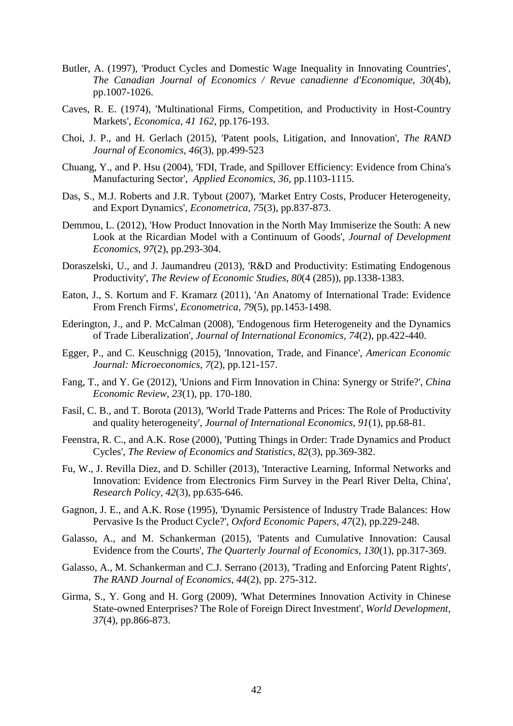- Butler, A. (1997), 'Product Cycles and Domestic Wage Inequality in Innovating Countries', *The Canadian Journal of Economics / Revue canadienne d'Economique, 30*(4b), pp.1007-1026.
- Caves, R. E. (1974), 'Multinational Firms, Competition, and Productivity in Host-Country Markets', *Economica, 41 162*, pp.176-193.
- Choi, J. P., and H. Gerlach (2015), 'Patent pools, Litigation, and Innovation', *The RAND Journal of Economics, 46*(3), pp.499-523
- Chuang, Y., and P. Hsu (2004), 'FDI, Trade, and Spillover Efficiency: Evidence from China's Manufacturing Sector', *Applied Economics, 36*, pp.1103-1115.
- Das, S., M.J. Roberts and J.R. Tybout (2007), 'Market Entry Costs, Producer Heterogeneity, and Export Dynamics', *Econometrica, 75*(3), pp.837-873.
- Demmou, L. (2012), 'How Product Innovation in the North May Immiserize the South: A new Look at the Ricardian Model with a Continuum of Goods', *Journal of Development Economics, 97*(2), pp.293-304.
- Doraszelski, U., and J. Jaumandreu (2013), 'R&D and Productivity: Estimating Endogenous Productivity', *The Review of Economic Studies, 80*(4 (285)), pp.1338-1383.
- Eaton, J., S. Kortum and F. Kramarz (2011), 'An Anatomy of International Trade: Evidence From French Firms', *Econometrica, 79*(5), pp.1453-1498.
- Ederington, J., and P. McCalman (2008), 'Endogenous firm Heterogeneity and the Dynamics of Trade Liberalization', *Journal of International Economics, 74*(2), pp.422-440.
- Egger, P., and C. Keuschnigg (2015), 'Innovation, Trade, and Finance', *American Economic Journal: Microeconomics, 7*(2), pp.121-157.
- Fang, T., and Y. Ge (2012), 'Unions and Firm Innovation in China: Synergy or Strife?', *China Economic Review, 23*(1), pp. 170-180.
- Fasil, C. B., and T. Borota (2013), 'World Trade Patterns and Prices: The Role of Productivity and quality heterogeneity', *Journal of International Economics, 91*(1), pp.68-81.
- Feenstra, R. C., and A.K. Rose (2000), 'Putting Things in Order: Trade Dynamics and Product Cycles', *The Review of Economics and Statistics, 82*(3), pp.369-382.
- Fu, W., J. Revilla Diez, and D. Schiller (2013), 'Interactive Learning, Informal Networks and Innovation: Evidence from Electronics Firm Survey in the Pearl River Delta, China', *Research Policy, 42*(3), pp.635-646.
- Gagnon, J. E., and A.K. Rose (1995), 'Dynamic Persistence of Industry Trade Balances: How Pervasive Is the Product Cycle?', *Oxford Economic Papers, 47*(2), pp.229-248.
- Galasso, A., and M. Schankerman (2015), 'Patents and Cumulative Innovation: Causal Evidence from the Courts', *The Quarterly Journal of Economics, 130*(1), pp.317-369.
- Galasso, A., M. Schankerman and C.J. Serrano (2013), 'Trading and Enforcing Patent Rights', *The RAND Journal of Economics, 44*(2), pp. 275-312.
- Girma, S., Y. Gong and H. Gorg (2009), 'What Determines Innovation Activity in Chinese State-owned Enterprises? The Role of Foreign Direct Investment', *World Development, 37*(4), pp.866-873.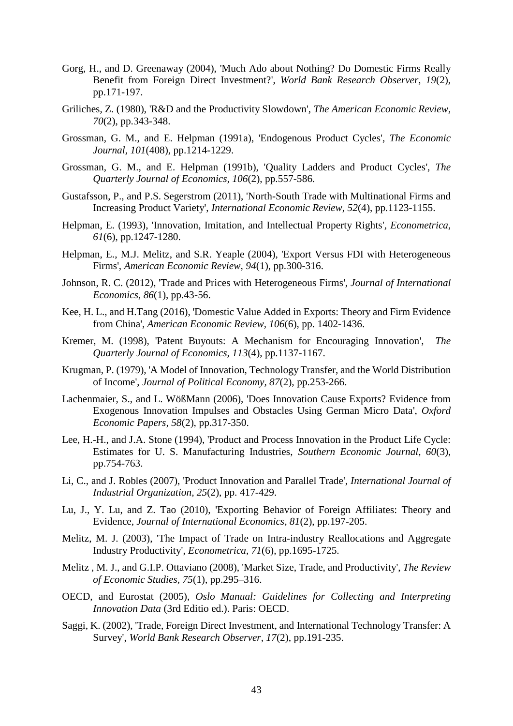- Gorg, H., and D. Greenaway (2004), 'Much Ado about Nothing? Do Domestic Firms Really Benefit from Foreign Direct Investment?', *World Bank Research Observer, 19*(2), pp.171-197.
- Griliches, Z. (1980), 'R&D and the Productivity Slowdown', *The American Economic Review, 70*(2), pp.343-348.
- Grossman, G. M., and E. Helpman (1991a), 'Endogenous Product Cycles', *The Economic Journal, 101*(408), pp.1214-1229.
- Grossman, G. M., and E. Helpman (1991b), 'Quality Ladders and Product Cycles', *The Quarterly Journal of Economics, 106*(2), pp.557-586.
- Gustafsson, P., and P.S. Segerstrom (2011), 'North-South Trade with Multinational Firms and Increasing Product Variety', *International Economic Review, 52*(4), pp.1123-1155.
- Helpman, E. (1993), 'Innovation, Imitation, and Intellectual Property Rights', *Econometrica, 61*(6), pp.1247-1280.
- Helpman, E., M.J. Melitz, and S.R. Yeaple (2004), 'Export Versus FDI with Heterogeneous Firms', *American Economic Review, 94*(1), pp.300-316.
- Johnson, R. C. (2012), 'Trade and Prices with Heterogeneous Firms', *Journal of International Economics, 86*(1), pp.43-56.
- Kee, H. L., and H.Tang (2016), 'Domestic Value Added in Exports: Theory and Firm Evidence from China', *American Economic Review, 106*(6), pp. 1402-1436.
- Kremer, M. (1998), 'Patent Buyouts: A Mechanism for Encouraging Innovation', *The Quarterly Journal of Economics, 113*(4), pp.1137-1167.
- Krugman, P. (1979), 'A Model of Innovation, Technology Transfer, and the World Distribution of Income', *Journal of Political Economy, 87*(2), pp.253-266.
- Lachenmaier, S., and L. WößMann (2006), 'Does Innovation Cause Exports? Evidence from Exogenous Innovation Impulses and Obstacles Using German Micro Data', *Oxford Economic Papers, 58*(2), pp.317-350.
- Lee, H.-H., and J.A. Stone (1994), 'Product and Process Innovation in the Product Life Cycle: Estimates for U. S. Manufacturing Industries, *Southern Economic Journal, 60*(3), pp.754-763.
- Li, C., and J. Robles (2007), 'Product Innovation and Parallel Trade', *International Journal of Industrial Organization, 25*(2), pp. 417-429.
- Lu, J., Y. Lu, and Z. Tao (2010), 'Exporting Behavior of Foreign Affiliates: Theory and Evidence, *Journal of International Economics, 81*(2), pp.197-205.
- Melitz, M. J. (2003), 'The Impact of Trade on Intra-industry Reallocations and Aggregate Industry Productivity', *Econometrica, 71*(6), pp.1695-1725.
- Melitz , M. J., and G.I.P. Ottaviano (2008), 'Market Size, Trade, and Productivity', *The Review of Economic Studies, 75*(1), pp.295–316.
- OECD, and Eurostat (2005), *Oslo Manual: Guidelines for Collecting and Interpreting Innovation Data* (3rd Editio ed.). Paris: OECD.
- Saggi, K. (2002), 'Trade, Foreign Direct Investment, and International Technology Transfer: A Survey', *World Bank Research Observer, 17*(2), pp.191-235.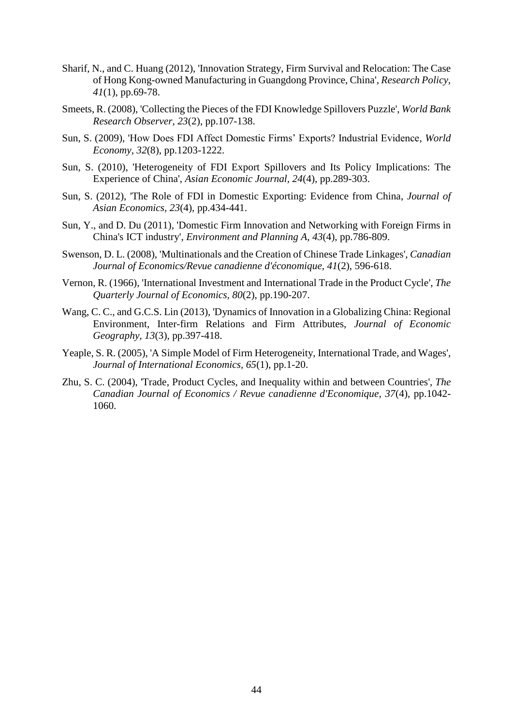- Sharif, N., and C. Huang (2012), 'Innovation Strategy, Firm Survival and Relocation: The Case of Hong Kong-owned Manufacturing in Guangdong Province, China', *Research Policy, 41*(1), pp.69-78.
- Smeets, R. (2008), 'Collecting the Pieces of the FDI Knowledge Spillovers Puzzle', *World Bank Research Observer, 23*(2), pp.107-138.
- Sun, S. (2009), 'How Does FDI Affect Domestic Firms' Exports? Industrial Evidence, *World Economy, 32*(8), pp.1203-1222.
- Sun, S. (2010), 'Heterogeneity of FDI Export Spillovers and Its Policy Implications: The Experience of China', *Asian Economic Journal, 24*(4), pp.289-303.
- Sun, S. (2012), 'The Role of FDI in Domestic Exporting: Evidence from China, *Journal of Asian Economics, 23*(4), pp.434-441.
- Sun, Y., and D. Du (2011), 'Domestic Firm Innovation and Networking with Foreign Firms in China's ICT industry', *Environment and Planning A, 43*(4), pp.786-809.
- Swenson, D. L. (2008), 'Multinationals and the Creation of Chinese Trade Linkages', *Canadian Journal of Economics/Revue canadienne d'économique, 41*(2), 596-618.
- Vernon, R. (1966), 'International Investment and International Trade in the Product Cycle', *The Quarterly Journal of Economics, 80*(2), pp.190-207.
- Wang, C. C., and G.C.S. Lin (2013), 'Dynamics of Innovation in a Globalizing China: Regional Environment, Inter-firm Relations and Firm Attributes, *Journal of Economic Geography, 13*(3), pp.397-418.
- Yeaple, S. R. (2005), 'A Simple Model of Firm Heterogeneity, International Trade, and Wages', *Journal of International Economics, 65*(1), pp.1-20.
- Zhu, S. C. (2004), 'Trade, Product Cycles, and Inequality within and between Countries', *The Canadian Journal of Economics / Revue canadienne d'Economique, 37*(4), pp.1042- 1060.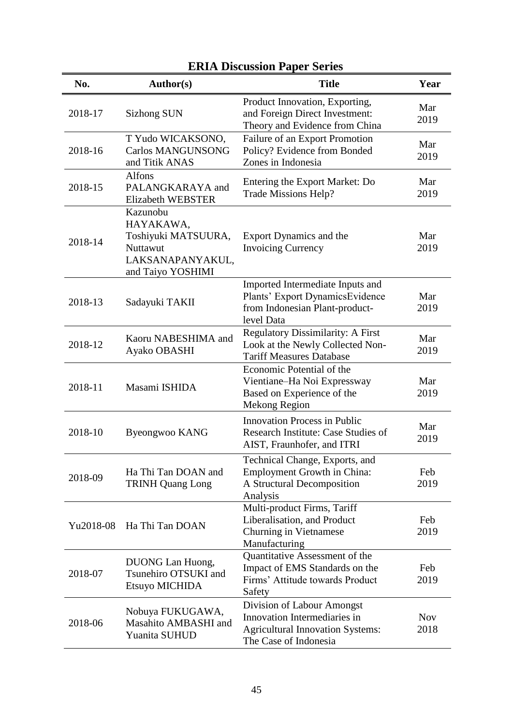| No.       | Author(s)                                                                                         | яхих різсазмон і арсі бегісэ<br><b>Title</b>                                                                                   | Year               |
|-----------|---------------------------------------------------------------------------------------------------|--------------------------------------------------------------------------------------------------------------------------------|--------------------|
| 2018-17   | <b>Sizhong SUN</b>                                                                                | Product Innovation, Exporting,<br>and Foreign Direct Investment:<br>Theory and Evidence from China                             | Mar<br>2019        |
| 2018-16   | T Yudo WICAKSONO,<br><b>Carlos MANGUNSONG</b><br>and Titik ANAS                                   | Failure of an Export Promotion<br>Policy? Evidence from Bonded<br>Zones in Indonesia                                           | Mar<br>2019        |
| 2018-15   | <b>Alfons</b><br>PALANGKARAYA and<br>Elizabeth WEBSTER                                            | Entering the Export Market: Do<br>Trade Missions Help?                                                                         | Mar<br>2019        |
| 2018-14   | Kazunobu<br>HAYAKAWA,<br>Toshiyuki MATSUURA,<br>Nuttawut<br>LAKSANAPANYAKUL,<br>and Taiyo YOSHIMI | Export Dynamics and the<br><b>Invoicing Currency</b>                                                                           | Mar<br>2019        |
| 2018-13   | Sadayuki TAKII                                                                                    | Imported Intermediate Inputs and<br>Plants' Export DynamicsEvidence<br>from Indonesian Plant-product-<br>level Data            | Mar<br>2019        |
| 2018-12   | Kaoru NABESHIMA and<br>Ayako OBASHI                                                               | Regulatory Dissimilarity: A First<br>Look at the Newly Collected Non-<br><b>Tariff Measures Database</b>                       | Mar<br>2019        |
| 2018-11   | Masami ISHIDA                                                                                     | Economic Potential of the<br>Vientiane-Ha Noi Expressway<br>Based on Experience of the<br><b>Mekong Region</b>                 | Mar<br>2019        |
| 2018-10   | Byeongwoo KANG                                                                                    | <b>Innovation Process in Public</b><br>Research Institute: Case Studies of<br>AIST, Fraunhofer, and ITRI                       | Mar<br>2019        |
| 2018-09   | Ha Thi Tan DOAN and<br><b>TRINH Quang Long</b>                                                    | Technical Change, Exports, and<br><b>Employment Growth in China:</b><br>A Structural Decomposition<br>Analysis                 | Feb<br>2019        |
| Yu2018-08 | Ha Thi Tan DOAN                                                                                   | Multi-product Firms, Tariff<br>Liberalisation, and Product<br>Churning in Vietnamese<br>Manufacturing                          | Feb<br>2019        |
| 2018-07   | DUONG Lan Huong,<br>Tsunehiro OTSUKI and<br>Etsuyo MICHIDA                                        | Quantitative Assessment of the<br>Impact of EMS Standards on the<br>Firms' Attitude towards Product<br>Safety                  | Feb<br>2019        |
| 2018-06   | Nobuya FUKUGAWA,<br>Masahito AMBASHI and<br>Yuanita SUHUD                                         | Division of Labour Amongst<br>Innovation Intermediaries in<br><b>Agricultural Innovation Systems:</b><br>The Case of Indonesia | <b>Nov</b><br>2018 |

# **ERIA Discussion Paper Series**